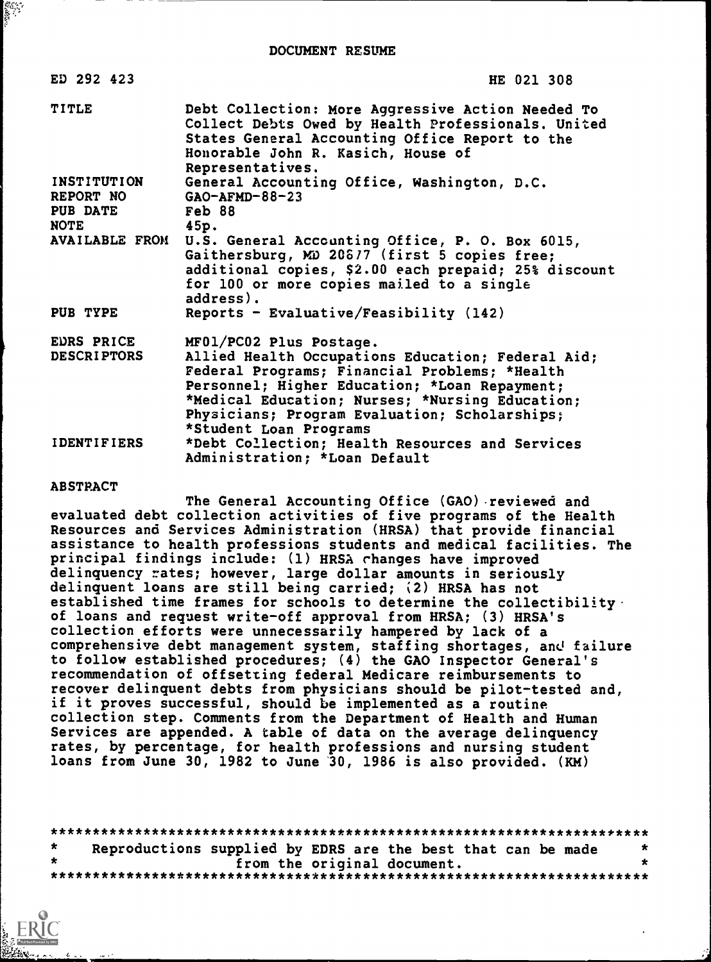| ED 292 423                       | HE 021 308                                                                                                                                                                                                                                                                                                   |
|----------------------------------|--------------------------------------------------------------------------------------------------------------------------------------------------------------------------------------------------------------------------------------------------------------------------------------------------------------|
| <b>TITLE</b>                     | Debt Collection: More Aggressive Action Needed To<br>Collect Debts Owed by Health Professionals. United<br>States General Accounting Office Report to the<br>Honorable John R. Kasich, House of<br>Representatives.                                                                                          |
| <b>INSTITUTION</b>               | General Accounting Office, Washington, D.C.                                                                                                                                                                                                                                                                  |
| REPORT NO<br><b>PUB DATE</b>     | $GAO-AFMD-88-23$<br>Feb 88                                                                                                                                                                                                                                                                                   |
| NOTE                             | 45p.                                                                                                                                                                                                                                                                                                         |
| <b>AVAILABLE FROM</b>            | U.S. General Accounting Office, P. O. Box 6015,<br>Gaithersburg, MD 20677 (first 5 copies free;<br>additional copies, \$2.00 each prepaid; 25% discount<br>for 100 or more copies mailed to a single<br>address).                                                                                            |
| PUB TYPE                         | Reports - Evaluative/Feasibility $(142)$                                                                                                                                                                                                                                                                     |
| EDRS PRICE<br><b>DESCRIPTORS</b> | MF01/PC02 Plus Postage.<br>Allied Health Occupations Education; Federal Aid;<br>Federal Programs; Financial Problems; *Health<br>Personnel; Higher Education; *Loan Repayment;<br>*Medical Education; Nurses; *Nursing Education;<br>Physicians; Program Evaluation; Scholarships;<br>*Student Loan Programs |
| <b>IDENTIFIERS</b>               | *Debt Collection; Health Resources and Services<br>Administration; *Loan Default                                                                                                                                                                                                                             |

#### ABSTRACT

The General Accounting Office (GAO) reviewed and evaluated debt collection activities of five programs of the Health Resources and Services Administration (HRSA) that provide financial assistance to health professions students and medical facilities. The principal findings include: (1) HRSA changes have improved delinquency rates; however, large dollar amounts in seriously delinquent loans are still being carried; (2) HRSA has not established time frames for schools to determine the collectibility. of loans and request write-off approval from HRSA; (3) HRSA's collection efforts were unnecessarily hampered by lack of a comprehensive debt management system, staffing shortages, and failure to follow established procedures; (4) the GAO Inspector General's recommendation of offsetting federal Medicare reimbursements to recover delinquent debts from physicians should be pilot-tested and, if it proves successful, should be implemented as a routine collection step. Comments from the Department of Health and Human Services are appended. A table of data on the average delinquency rates, by percentage, for health professions and nursing student loans from June 30, 1982 to June '30, 1986 is also provided. (KM)

| $\star$ | Reproductions supplied by EDRS are the best that can be made |  |
|---------|--------------------------------------------------------------|--|
|         | from the original document.                                  |  |
|         |                                                              |  |

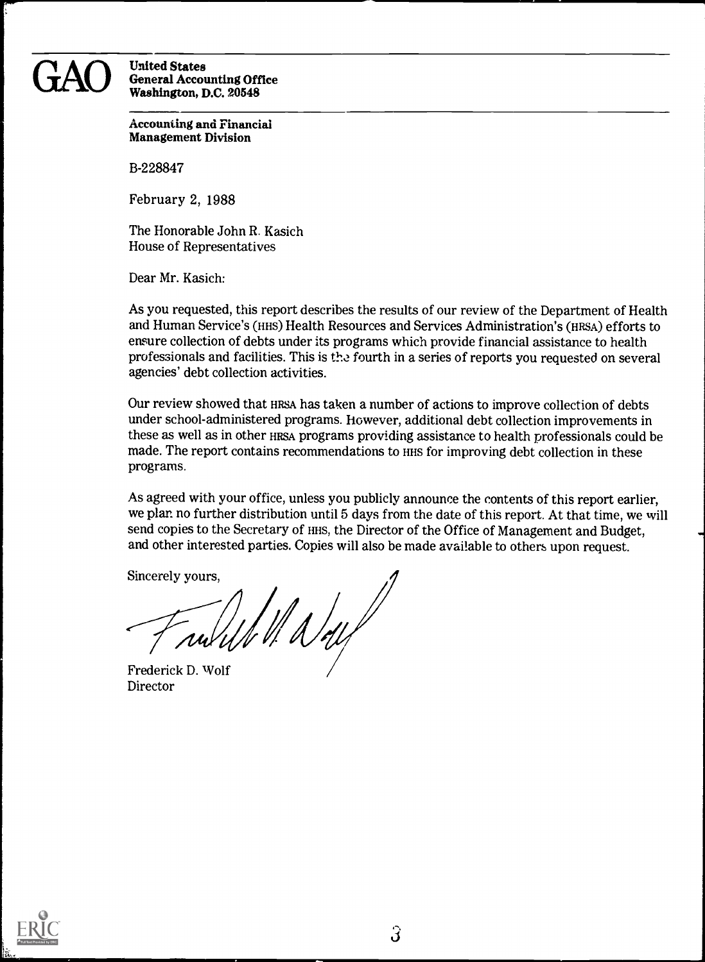#### GAO United States<br>Washington, D.C. 20548 General Accounting Office Washington, D.C. 20548

Accounting and Financial Management Division

B-228847

February 2, 1988

The Honorable John R. Kasich House of Representatives

Dear Mr. Kasich:

As you requested, this report describes the results of our review of the Department of Health and Human Service's (HHS) Health Resources and Services Administration's (HRSA) efforts to ensure collection of debts under its programs which provide financial assistance to health professionals and facilities. This is the fourth in a series of reports you requested on several agencies' debt collection activities.

Our review showed that HRSA has taken a number of actions to improve collection of debts under school-administered programs. However, additional debt collection improvements in these as well as in other HRSA programs providing assistance to health professionals could be made. The report contains recommendations to HHS for improving debt collection in these programs.

As agreed with your office, unless you publicly announce the contents of this report earlier, we plan no further distribution until 5 days from the date of this report. At that time, we will send copies to the Secretary of HHS, the Director of the Office of Management and Budget, and other interested parties. Copies will also be made available to others upon request.

Sincerely yours,

Wady

Frederick D. Wolf Director

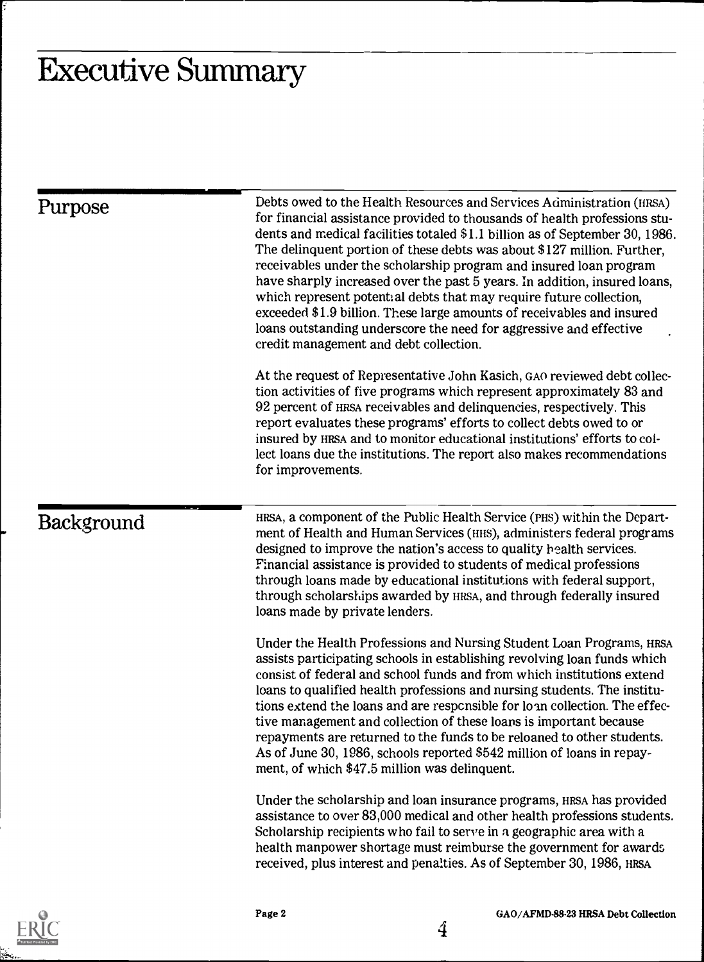# Executive Summary

| Purpose           | Debts owed to the Health Resources and Services Administration (HRSA)<br>for financial assistance provided to thousands of health professions stu-<br>dents and medical facilities totaled \$1.1 billion as of September 30, 1986.<br>The delinquent portion of these debts was about \$127 million. Further,<br>receivables under the scholarship program and insured loan program<br>have sharply increased over the past 5 years. In addition, insured loans,<br>which represent potential debts that may require future collection,<br>exceeded \$1.9 billion. These large amounts of receivables and insured<br>loans outstanding underscore the need for aggressive and effective<br>credit management and debt collection. |
|-------------------|-----------------------------------------------------------------------------------------------------------------------------------------------------------------------------------------------------------------------------------------------------------------------------------------------------------------------------------------------------------------------------------------------------------------------------------------------------------------------------------------------------------------------------------------------------------------------------------------------------------------------------------------------------------------------------------------------------------------------------------|
|                   | At the request of Representative John Kasich, GAO reviewed debt collec-<br>tion activities of five programs which represent approximately 83 and<br>92 percent of HRSA receivables and delinquencies, respectively. This<br>report evaluates these programs' efforts to collect debts owed to or<br>insured by HRSA and to monitor educational institutions' efforts to col-<br>lect loans due the institutions. The report also makes recommendations<br>for improvements.                                                                                                                                                                                                                                                       |
| <b>Background</b> | HRSA, a component of the Public Health Service (PHS) within the Depart-<br>ment of Health and Human Services (HIS), administers federal programs<br>designed to improve the nation's access to quality bealth services.<br>Financial assistance is provided to students of medical professions<br>through loans made by educational institutions with federal support,<br>through scholarships awarded by HRSA, and through federally insured<br>loans made by private lenders.                                                                                                                                                                                                                                                   |
|                   | Under the Health Professions and Nursing Student Loan Programs, HRSA<br>assists participating schools in establishing revolving loan funds which<br>consist of federal and school funds and from which institutions extend<br>loans to qualified health professions and nursing students. The institu-<br>tions extend the loans and are responsible for loan collection. The effec-<br>tive management and collection of these loans is important because<br>repayments are returned to the funds to be reloaned to other students.<br>As of June 30, 1986, schools reported \$542 million of loans in repay-<br>ment, of which \$47.5 million was delinquent.                                                                   |
|                   | Under the scholarship and loan insurance programs, HRSA has provided<br>assistance to over 83,000 medical and other health professions students.<br>Scholarship recipients who fail to serve in a geographic area with a<br>health manpower shortage must reimburse the government for awards<br>received, plus interest and penalties. As of September 30, 1986, HRSA                                                                                                                                                                                                                                                                                                                                                            |

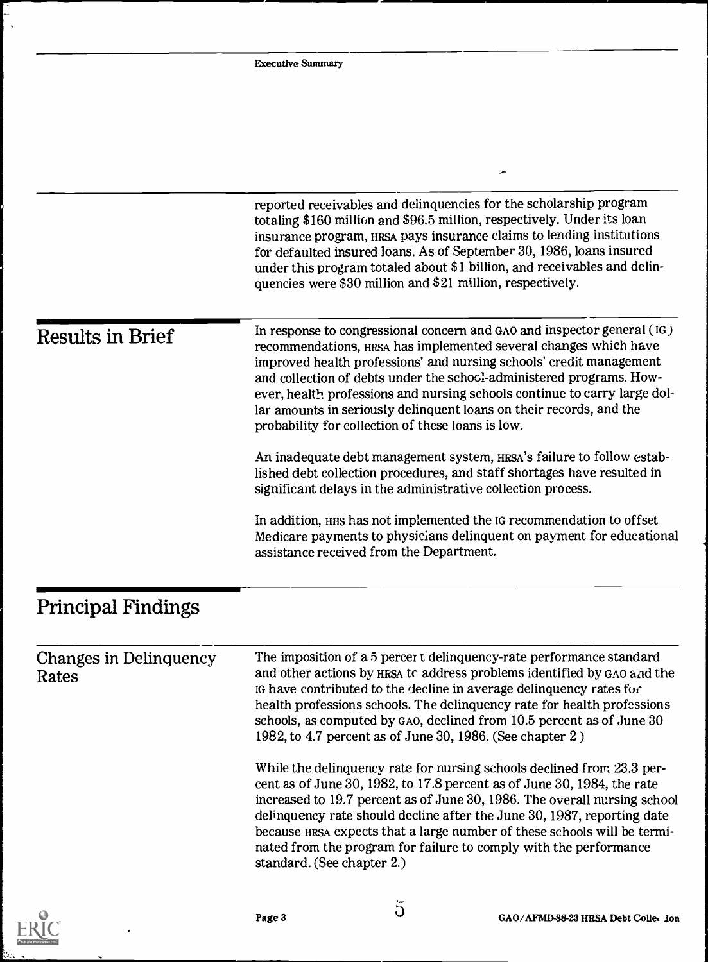|                                 | <b>Executive Summary</b>                                                                                                                                                                                                                                                                                                                                                                                                                                                                            |
|---------------------------------|-----------------------------------------------------------------------------------------------------------------------------------------------------------------------------------------------------------------------------------------------------------------------------------------------------------------------------------------------------------------------------------------------------------------------------------------------------------------------------------------------------|
|                                 |                                                                                                                                                                                                                                                                                                                                                                                                                                                                                                     |
|                                 |                                                                                                                                                                                                                                                                                                                                                                                                                                                                                                     |
|                                 |                                                                                                                                                                                                                                                                                                                                                                                                                                                                                                     |
|                                 |                                                                                                                                                                                                                                                                                                                                                                                                                                                                                                     |
|                                 | reported receivables and delinquencies for the scholarship program<br>totaling \$160 million and \$96.5 million, respectively. Under its loan<br>insurance program, HRSA pays insurance claims to lending institutions<br>for defaulted insured loans. As of September 30, 1986, loans insured<br>under this program totaled about \$1 billion, and receivables and delin-<br>quencies were \$30 million and \$21 million, respectively.                                                            |
| <b>Results in Brief</b>         | In response to congressional concern and GAO and inspector general (IG)<br>recommendations, HRSA has implemented several changes which have<br>improved health professions' and nursing schools' credit management<br>and collection of debts under the schocl-administered programs. How-<br>ever, health professions and nursing schools continue to carry large dol-<br>lar amounts in seriously delinquent loans on their records, and the<br>probability for collection of these loans is low. |
|                                 | An inadequate debt management system, HRSA's failure to follow estab-<br>lished debt collection procedures, and staff shortages have resulted in<br>significant delays in the administrative collection process.                                                                                                                                                                                                                                                                                    |
|                                 | In addition, HHS has not implemented the IG recommendation to offset<br>Medicare payments to physicians delinquent on payment for educational<br>assistance received from the Department.                                                                                                                                                                                                                                                                                                           |
| <b>Principal Findings</b>       |                                                                                                                                                                                                                                                                                                                                                                                                                                                                                                     |
| Changes in Delinquency<br>Rates | The imposition of a 5 percer t delinguency-rate performance standard<br>and other actions by HRSA to address problems identified by GAO and the<br>IG have contributed to the decline in average delinquency rates for<br>health professions schools. The delinquency rate for health professions<br>schools, as computed by GAO, declined from 10.5 percent as of June 30<br>1982, to 4.7 percent as of June 30, 1986. (See chapter 2)                                                             |
|                                 | While the delinquency rate for nursing schools declined from 23.3 per-<br>cent as of June 30, 1982, to 17.8 percent as of June 30, 1984, the rate<br>increased to 19.7 percent as of June 30, 1986. The overall nursing school<br>delinquency rate should decline after the June 30, 1987, reporting date<br>because HRSA expects that a large number of these schools will be termi-<br>nated from the program for failure to comply with the performance<br>standard. (See chapter 2.)            |
|                                 |                                                                                                                                                                                                                                                                                                                                                                                                                                                                                                     |



 $\ddot{\phantom{a}}$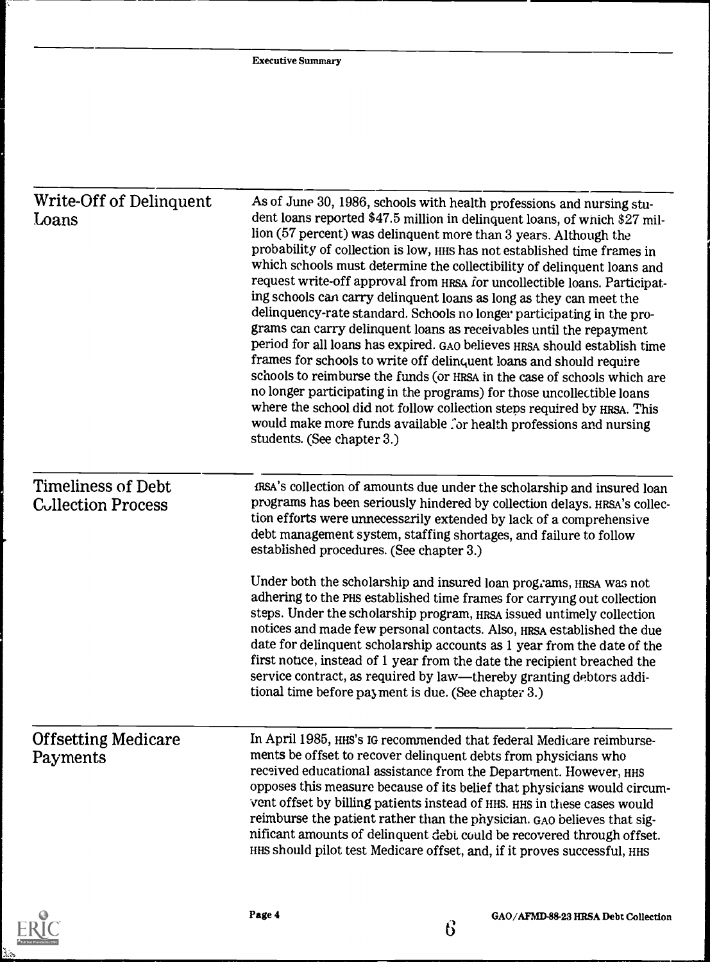| Write-Off of Delinquent<br>Loans                       | As of June 30, 1986, schools with health professions and nursing stu-<br>dent loans reported \$47.5 million in delinquent loans, of which \$27 mil-<br>lion (57 percent) was delinquent more than 3 years. Although the<br>probability of collection is low, HHS has not established time frames in<br>which schools must determine the collectibility of delinquent loans and<br>request write-off approval from HRSA for uncollectible loans. Participat-<br>ing schools can carry delinquent loans as long as they can meet the<br>delinquency-rate standard. Schools no longer participating in the pro-<br>grams can carry delinquent loans as receivables until the repayment<br>period for all loans has expired. GAO believes HRSA should establish time<br>frames for schools to write off delinquent loans and should require<br>schools to reimburse the funds (or HRSA in the case of schools which are<br>no longer participating in the programs) for those uncollectible loans<br>where the school did not follow collection steps required by HRSA. This<br>would make more funds available for health professions and nursing<br>students. (See chapter 3.) |
|--------------------------------------------------------|------------------------------------------------------------------------------------------------------------------------------------------------------------------------------------------------------------------------------------------------------------------------------------------------------------------------------------------------------------------------------------------------------------------------------------------------------------------------------------------------------------------------------------------------------------------------------------------------------------------------------------------------------------------------------------------------------------------------------------------------------------------------------------------------------------------------------------------------------------------------------------------------------------------------------------------------------------------------------------------------------------------------------------------------------------------------------------------------------------------------------------------------------------------------------|
| <b>Timeliness of Debt</b><br><b>Collection Process</b> | fRSA's collection of amounts due under the scholarship and insured loan<br>programs has been seriously hindered by collection delays. HRSA's collec-<br>tion efforts were unnecessarily extended by lack of a comprehensive<br>debt management system, staffing shortages, and failure to follow<br>established procedures. (See chapter 3.)<br>Under both the scholarship and insured loan programs, HRSA was not<br>adhering to the PHS established time frames for carrying out collection<br>steps. Under the scholarship program, HRSA issued untimely collection<br>notices and made few personal contacts. Also, HRSA established the due<br>date for delinquent scholarship accounts as 1 year from the date of the<br>first notice, instead of 1 year from the date the recipient breached the<br>service contract, as required by law—thereby granting debtors addi-<br>tional time before payment is due. (See chapter 3.)                                                                                                                                                                                                                                        |
| <b>Offsetting Medicare</b><br>Payments                 | In April 1985, HHS's IG recommended that federal Medicare reimburse-<br>ments be offset to recover delinquent debts from physicians who<br>received educational assistance from the Department. However, HHS<br>opposes this measure because of its belief that physicians would circum-<br>vent offset by billing patients instead of HHS. HHS in these cases would<br>reimburse the patient rather than the physician. GAO believes that sig-<br>nificant amounts of delinquent debt could be recovered through offset.<br>HHS should pilot test Medicare offset, and, if it proves successful, HHS                                                                                                                                                                                                                                                                                                                                                                                                                                                                                                                                                                        |

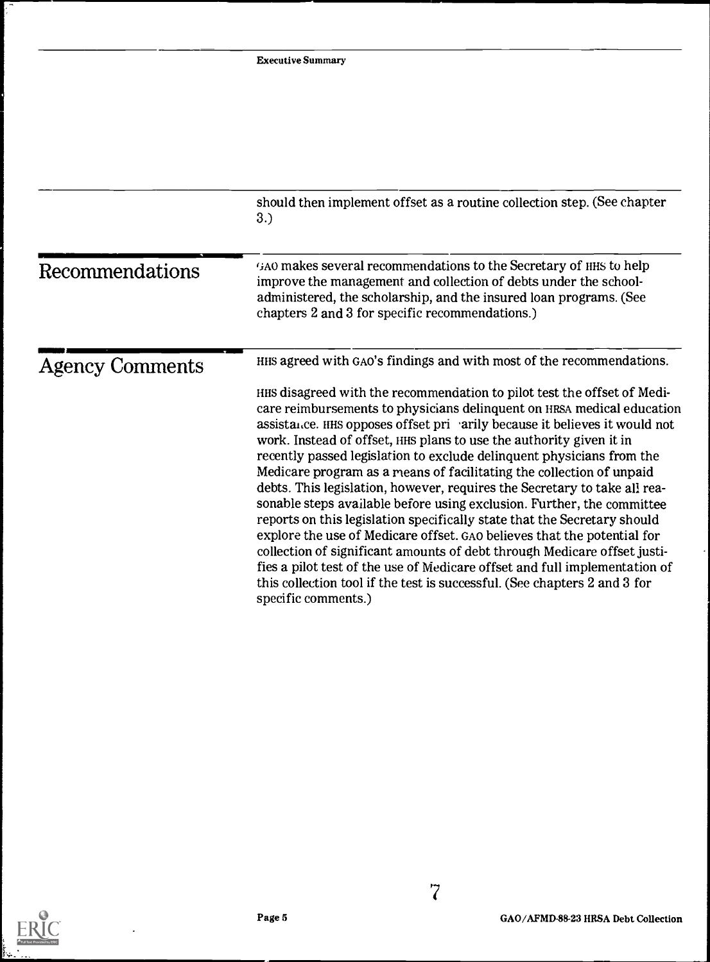|                        | should then implement offset as a routine collection step. (See chapter<br>3.)                                                                                                                                                                                                                                                                                                                                                                                                                                                                                                                                                                                                                                                                                                                                                                                                                                                                                                                                                     |
|------------------------|------------------------------------------------------------------------------------------------------------------------------------------------------------------------------------------------------------------------------------------------------------------------------------------------------------------------------------------------------------------------------------------------------------------------------------------------------------------------------------------------------------------------------------------------------------------------------------------------------------------------------------------------------------------------------------------------------------------------------------------------------------------------------------------------------------------------------------------------------------------------------------------------------------------------------------------------------------------------------------------------------------------------------------|
| Recommendations        | GAO makes several recommendations to the Secretary of HHS to help<br>improve the management and collection of debts under the school-<br>administered, the scholarship, and the insured loan programs. (See<br>chapters 2 and 3 for specific recommendations.)                                                                                                                                                                                                                                                                                                                                                                                                                                                                                                                                                                                                                                                                                                                                                                     |
| <b>Agency Comments</b> | HHS agreed with GAO's findings and with most of the recommendations.                                                                                                                                                                                                                                                                                                                                                                                                                                                                                                                                                                                                                                                                                                                                                                                                                                                                                                                                                               |
|                        | HHS disagreed with the recommendation to pilot test the offset of Medi-<br>care reimbursements to physicians delinquent on HRSA medical education<br>assistance. HHS opposes offset pri arily because it believes it would not<br>work. Instead of offset, HHS plans to use the authority given it in<br>recently passed legislation to exclude delinquent physicians from the<br>Medicare program as a means of facilitating the collection of unpaid<br>debts. This legislation, however, requires the Secretary to take all rea-<br>sonable steps available before using exclusion. Further, the committee<br>reports on this legislation specifically state that the Secretary should<br>explore the use of Medicare offset. GAO believes that the potential for<br>collection of significant amounts of debt through Medicare offset justi-<br>fies a pilot test of the use of Medicare offset and full implementation of<br>this collection tool if the test is successful. (See chapters 2 and 3 for<br>specific comments.) |

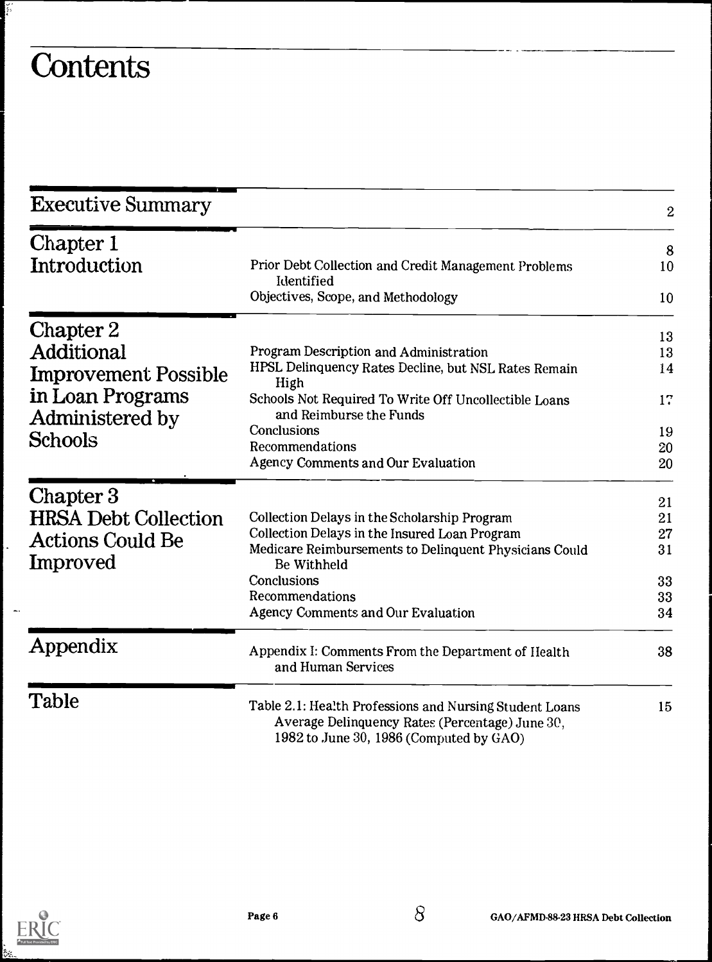# **Contents**

ع شاد<br>م

| <b>Executive Summary</b>            |                                                                                                                                                       | 2  |
|-------------------------------------|-------------------------------------------------------------------------------------------------------------------------------------------------------|----|
| Chapter 1                           |                                                                                                                                                       | 8  |
| Introduction                        | Prior Debt Collection and Credit Management Problems<br>Identified                                                                                    | 10 |
|                                     | Objectives, Scope, and Methodology                                                                                                                    | 10 |
| Chapter 2                           |                                                                                                                                                       | 13 |
| Additional                          | Program Description and Administration                                                                                                                | 13 |
| <b>Improvement Possible</b>         | HPSL Delinquency Rates Decline, but NSL Rates Remain<br>High                                                                                          | 14 |
| in Loan Programs<br>Administered by | Schools Not Required To Write Off Uncollectible Loans<br>and Reimburse the Funds                                                                      | 17 |
| <b>Schools</b>                      | Conclusions                                                                                                                                           | 19 |
|                                     | Recommendations                                                                                                                                       | 20 |
|                                     | <b>Agency Comments and Our Evaluation</b>                                                                                                             | 20 |
| Chapter 3                           |                                                                                                                                                       | 21 |
| <b>HRSA Debt Collection</b>         | Collection Delays in the Scholarship Program                                                                                                          | 21 |
|                                     | Collection Delays in the Insured Loan Program                                                                                                         | 27 |
| <b>Actions Could Be</b><br>Improved | Medicare Reimbursements to Delinquent Physicians Could<br>Be Withheld                                                                                 | 31 |
|                                     | Conclusions                                                                                                                                           | 33 |
|                                     | Recommendations                                                                                                                                       | 33 |
|                                     | <b>Agency Comments and Our Evaluation</b>                                                                                                             | 34 |
| Appendix                            | Appendix I: Comments From the Department of Health<br>and Human Services                                                                              | 38 |
| Table                               | Table 2.1: Health Professions and Nursing Student Loans<br>Average Delinquency Rates (Percentage) June 30,<br>1982 to June 30, 1986 (Computed by GAO) | 15 |



ļ.

 $\overline{\phantom{a}}$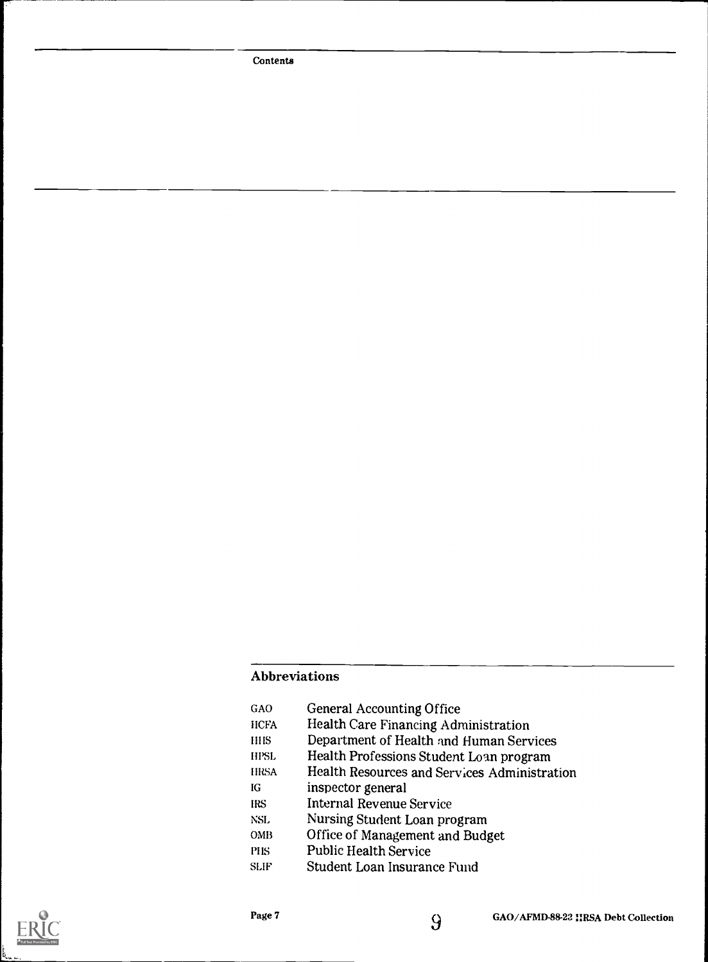Contents

#### Abbreviations

| <b>General Accounting Office</b>             |
|----------------------------------------------|
| <b>Health Care Financing Administration</b>  |
| Department of Health and Human Services      |
| Health Professions Student Loan program      |
| Health Resources and Services Administration |
| inspector general                            |
| <b>Internal Revenue Service</b>              |
| Nursing Student Loan program                 |
| Office of Management and Budget              |
| <b>Public Health Service</b>                 |
| Student Loan Insurance Fund                  |
|                                              |

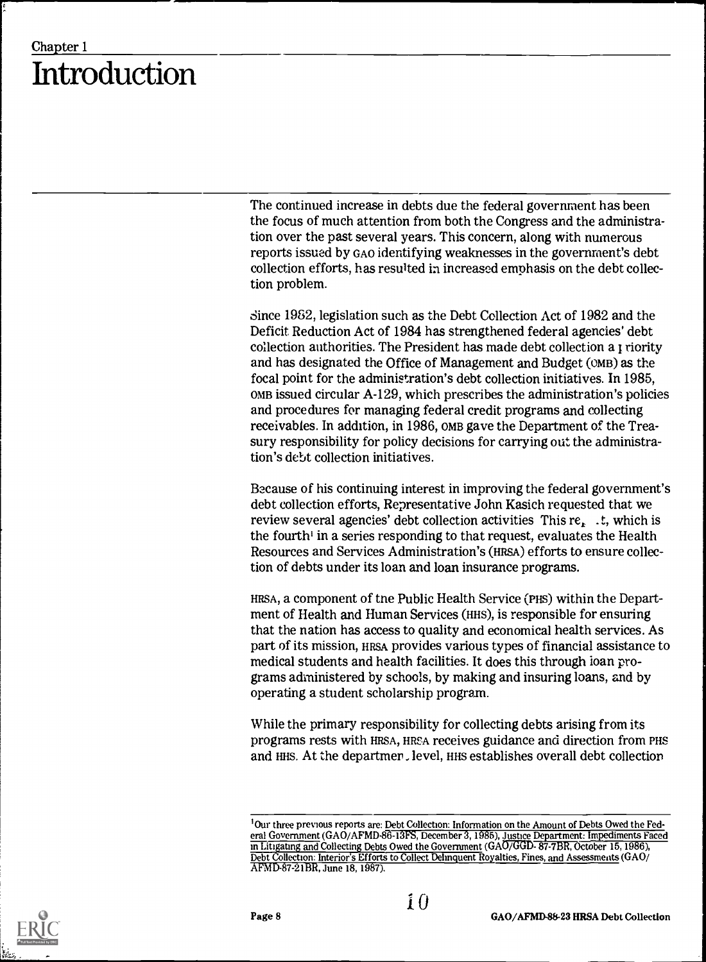### Chapter 1 Introduction

The continued increase in debts due the federal government has been the focus of much attention from both the Congress and the administration over the past several years. This concern, along with numerous reports issued by GAO identifying weaknesses in the government's debt collection efforts, has resulted in increased emphasis on the debt collection problem.

Since 1982, legislation such as the Debt Collection Act of 1982 and the Deficit Reduction Act of 1984 has strengthened federal agencies' debt collection authorities. The President has made debt collection a r riority and has designated the Office of Management and Budget (OMB) as the focal point for the administration's debt collection initiatives. In 1985, OMB issued circular A-129, which prescribes the administration's policies and procedures for managing federal credit programs and collecting receivables. In addition, in 1986, OMB gave the Department of the Treasury responsibility for policy decisions for carrying out the administration's debt collection initiatives.

Because of his continuing interest in improving the federal government's debt collection efforts, Representative John Kasich requested that we review several agencies' debt collection activities This  $re_t$ . t, which is the fourth' in a series responding to that request, evaluates the Health Resources and Services Administration's (HRSA) efforts to ensure collection of debts under its loan and loan insurance programs.

HRSA, a component of tne Public Health Service (PHs) within the Department of Health and Human Services (HHs), is responsible for ensuring that the nation has access to quality and economical health services. As part of its mission, HRSA provides various types of financial assistance to medical students and health facilities. It does this through loan programs administered by schools, by making and insuring loans, and by operating a student scholarship program.

While the primary responsibility for collecting debts arising from its programs rests with HRSA, HRSA receives guidance and direction from PHS and HHS. At the departmer level, HHS establishes overall debt collection



I Our three previous reports are: Debt Collection: Information on the Amount of Debts Owed the Federal Government (GAO/AFMD-86-13FS, December 3, 1985), <u>Justice Department: Impediments Faced</u> in Litigating and Collecting Debts Owed the Government (GAO/GGD- 87-7BR, October 15, 1986), Debt Collection: Interior's Efforts to Collect Delinquent Royalties, Fines, and Assessments (GAO/ APMD-87-21BR, June 18, 1987).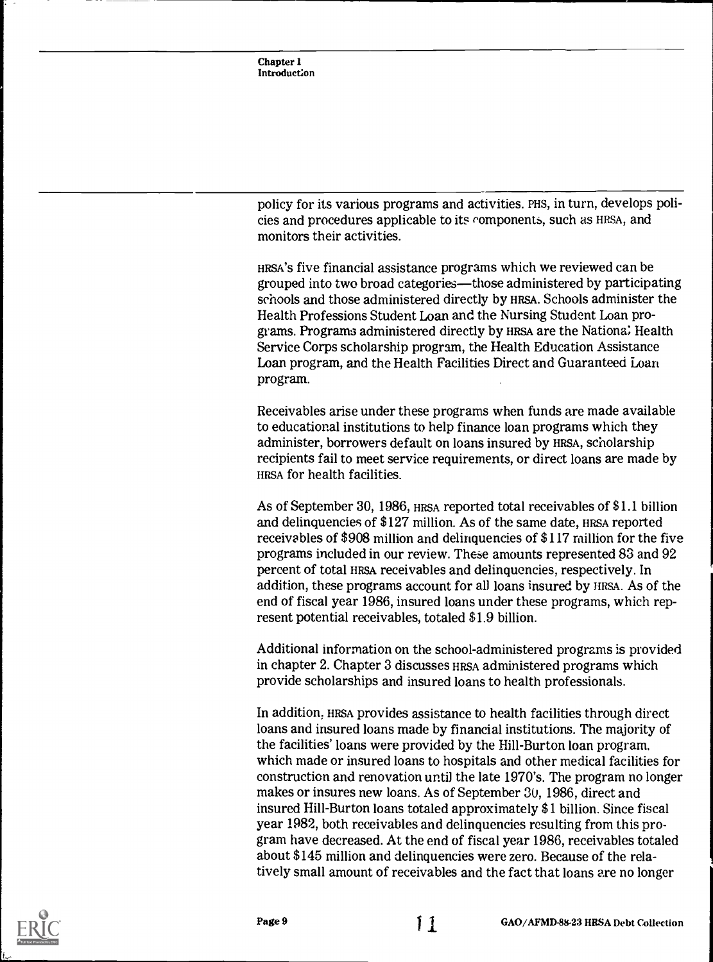policy for its various programs and activities. PHS, in turn, develops policies and procedures applicable to its components, such as HRSA, and monitors their activities.

HRSA'S five financial assistance programs which we reviewed can be grouped into two broad categories—those administered by participating schools and those administered directly by HRSA. Schools administer the Health Professions Student Loan and the Nursing Student Loan programs. Programs administered directly by HRSA are the Nationa; Health Service Corps scholarship program, the Health Education Assistance Loan program, and the Health Facilities Direct and Guaranteed Loan program.

Receivables arise under these programs when funds are made available to educational institutions to help finance loan programs which they administer, borrowers default on loans insured by HRSA, scholarship recipients fail to meet service requirements, or direct loans are made by HRSA for health facilities.

As of September 30, 1986, HRSA reported total receivables of \$1.1 billion and delinquencies of \$127 million. As of the same date, HRSA reported receivables of \$908 million and delinquencies of \$117 million for the five programs included in our review. These amounts represented 83 and 92 percent of total HRSA receivables and delinquencies, respectively. In addition, these programs account for all loans insured by HRSA. As of the end of fiscal year 1986, insured loans under these programs, which represent potential receivables, totaled \$1.9 billion.

Additional information on the school-administered programs is provided in chapter 2. Chapter 3 discusses HRSA administered programs which provide scholarships and insured loans to health professionals.

In addition, HRSA provides assistance to health facilities through direct loans and insured loans made by financial institutions. The majority of the facilities' loans were provided by the Hill-Burton loan program, which made or insured loans to hospitals and other medical facilities for construction and renovation until the late 1970's. The program no longer makes or insures new loans. As of September 3U, 1986, direct and insured Hill-Burton loans totaled approximately \$1 billion. Since fiscal year 1982, both receivables and delinquencies resulting from this program have decreased. At the end of fiscal year 1986, receivables totaled about \$145 million and delinquencies were zero. Because of the relatively small amount of receivables and the fact that loans are no longer

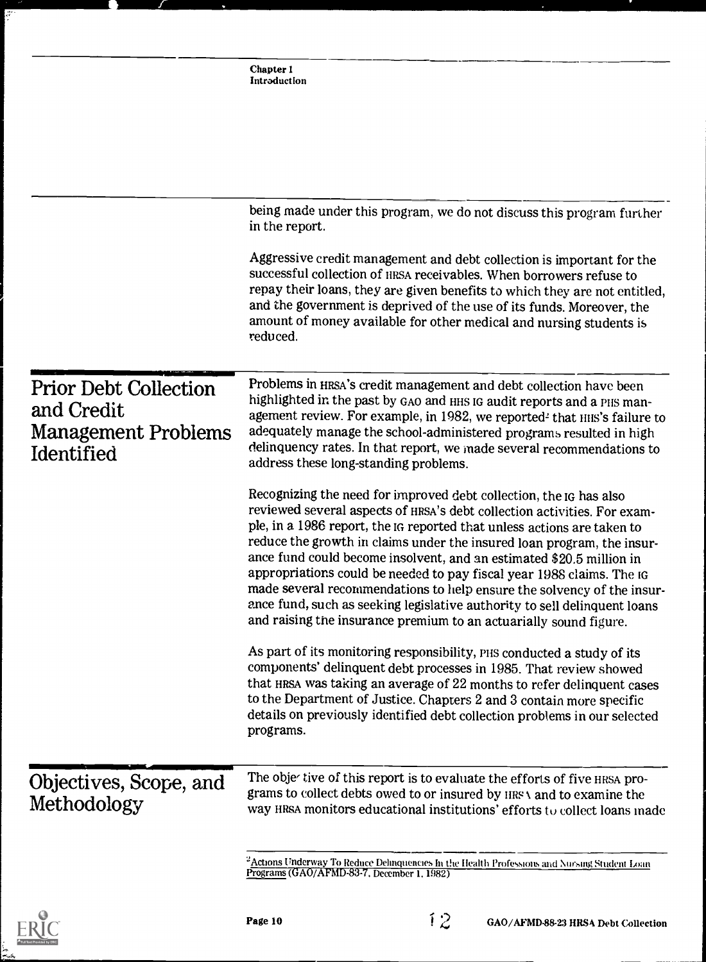|                                                                                        | Chapter 1<br>Introduction                                                                                                                                                                                                                                                                                                                                                                                                                                                                                                                                                                                                                                                        |
|----------------------------------------------------------------------------------------|----------------------------------------------------------------------------------------------------------------------------------------------------------------------------------------------------------------------------------------------------------------------------------------------------------------------------------------------------------------------------------------------------------------------------------------------------------------------------------------------------------------------------------------------------------------------------------------------------------------------------------------------------------------------------------|
|                                                                                        |                                                                                                                                                                                                                                                                                                                                                                                                                                                                                                                                                                                                                                                                                  |
|                                                                                        | being made under this program, we do not discuss this program further<br>in the report.                                                                                                                                                                                                                                                                                                                                                                                                                                                                                                                                                                                          |
|                                                                                        | Aggressive credit management and debt collection is important for the<br>successful collection of HRSA receivables. When borrowers refuse to<br>repay their loans, they are given benefits to which they are not entitled,<br>and the government is deprived of the use of its funds. Moreover, the<br>amount of money available for other medical and nursing students is<br>reduced.                                                                                                                                                                                                                                                                                           |
| <b>Prior Debt Collection</b><br>and Credit<br><b>Management Problems</b><br>Identified | Problems in HRSA's credit management and debt collection have been<br>highlighted in the past by GAO and HHS IG audit reports and a PHS man-<br>agement review. For example, in 1982, we reported <sup>2</sup> that HIIS's failure to<br>adequately manage the school-administered programs resulted in high<br>delinquency rates. In that report, we made several recommendations to<br>address these long-standing problems.                                                                                                                                                                                                                                                   |
|                                                                                        | Recognizing the need for improved debt collection, the IG has also<br>reviewed several aspects of HRSA's debt collection activities. For exam-<br>ple, in a 1986 report, the IG reported that unless actions are taken to<br>reduce the growth in claims under the insured loan program, the insur-<br>ance fund could become insolvent, and an estimated \$20.5 million in<br>appropriations could be needed to pay fiscal year 1988 claims. The IG<br>made several recommendations to help ensure the solvency of the insur-<br>ance fund, such as seeking legislative authority to sell delinquent loans<br>and raising the insurance premium to an actuarially sound figure. |
|                                                                                        | As part of its monitoring responsibility, PHS conducted a study of its<br>components' delinquent debt processes in 1985. That review showed<br>that HRSA was taking an average of 22 months to refer delinquent cases<br>to the Department of Justice. Chapters 2 and 3 contain more specific<br>details on previously identified debt collection problems in our selected<br>programs.                                                                                                                                                                                                                                                                                          |
| Objectives, Scope, and<br>Methodology                                                  | The objer tive of this report is to evaluate the efforts of five HRSA pro-<br>grams to collect debts owed to or insured by HRSA and to examine the<br>way HRSA monitors educational institutions' efforts to collect loans made                                                                                                                                                                                                                                                                                                                                                                                                                                                  |
|                                                                                        | $^2$ <u>Actions Underway To Reduce Delinquencies In the Health Professions and Nursing Student Loan</u><br>Programs (GAO/AFMD-83-7, December 1, 1982)                                                                                                                                                                                                                                                                                                                                                                                                                                                                                                                            |

J

 $\frac{1}{2}$ 

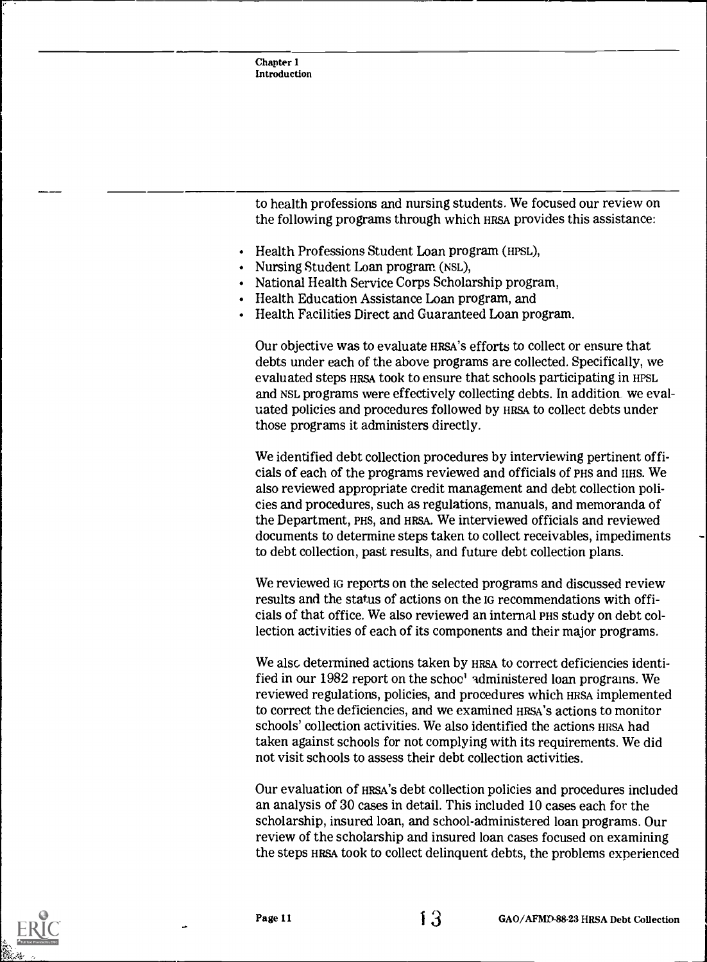| Chapter 1<br>Introduction                                                                                                                   |
|---------------------------------------------------------------------------------------------------------------------------------------------|
|                                                                                                                                             |
|                                                                                                                                             |
|                                                                                                                                             |
|                                                                                                                                             |
| to health professions and nursing students. We focused our review on<br>the following programs through which HRSA provides this assistance: |
| $H_{\text{c}}(u)$ . Due from $\Omega_{\text{c}}(u)$ . $\Omega_{\text{c}}(u)$ and $\Omega_{\text{c}}(u)$ and due $\Omega_{\text{c}}(v)$      |

- Health Professions Student Loan program (HPSL),
- Nursing Student Loan program (NsL),
- National Health Service Corps Scholarship program,
- Health Education Assistance Loan program, and
- Health Facilities Direct and Guaranteed Loan program.

Our objective was to evaluate HRSA'S efforts to collect or ensure that debts under each of the above programs are collected. Specifically, we evaluated steps HRSA took to ensure that schools participating in HPSL and NSL programs were effectively collecting debts. In addition we evaluated policies and procedures followed by HRSA to collect debts under those programs it administers directly.

We identified debt collection procedures by interviewing pertinent officials of each of the programs reviewed and officials of PHS and IIHS. We also reviewed appropriate credit management and debt collection policies and procedures, such as regulations, manuals, and memoranda of the Department, PHS, and HRSA. We interviewed officials and reviewed documents to determine steps taken to collect receivables, impediments to debt collection, past results, and future debt collection plans.

We reviewed IG reports on the selected programs and discussed review results and the status of actions on the IG recommendations with officials of that office. We also reviewed an internal PHS study on debt collection activities of each of its components and their major programs.

We also determined actions taken by HRSA to correct deficiencies identified in our 1982 report on the schoo' administered loan programs. We reviewed regulations, policies, and procedures which HRSA implemented to correct the deficiencies, and we examined HRSA'S actions to monitor schools' collection activities. We also identified the actions HRSA had taken against schools for not complying with its requirements. We did not visit schools to assess their debt collection activities.

Our evaluation of HRSA'S debt collection policies and procedures included an analysis of 30 cases in detail. This included 10 cases each for the scholarship, insured loan, and school-administered loan programs. Our review of the scholarship and insured loan cases focused on examining the steps HRSA took to collect delinquent debts, the problems experienced

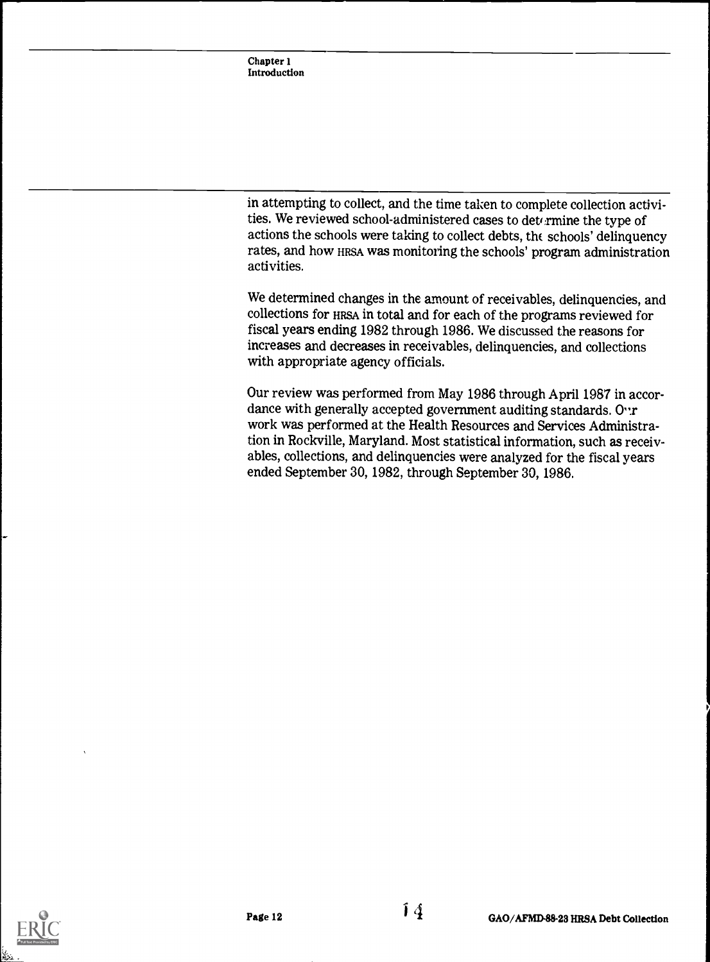in attempting to collect, and the time taken to complete collection activities. We reviewed school-administered cases to determine the type of actions the schools were taking to collect debts, the schools' delinquency rates, and how HRSA was monitoring the schools' program administration activities.

We determined changes in the amount of receivables, delinquencies, and collections for HRSA in total and for each of the programs reviewed for fiscal years ending 1982 through 1986. We discussed the reasons for increases and decreases in receivables, delinquencies, and collections with appropriate agency officials.

Our review was performed from May 1986 through April 1987 in accordance with generally accepted government auditing standards.  $O^{\cdot}$ r work was performed at the Health Resources and Services Administration in Rockville, Maryland. Most statistical information, such as receivables, collections, and delinquencies were analyzed for the fiscal years ended September 30, 1982, through September 30, 1986.

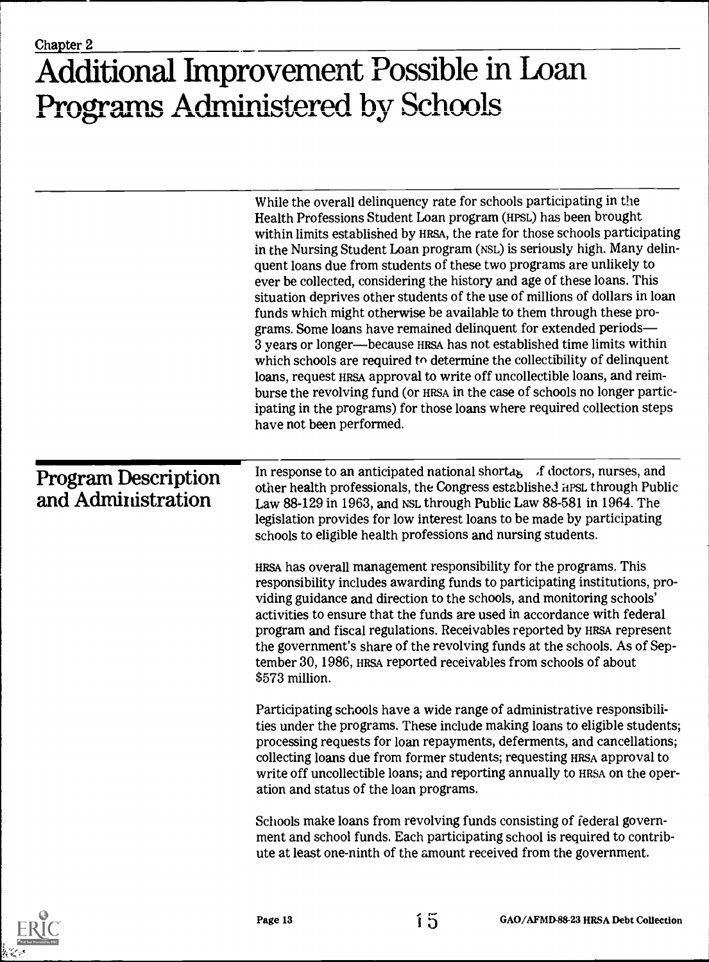## Additional Improvement Possible in Loan Programs Administered by Schools

|                                                  | While the overall delinquency rate for schools participating in the<br>Health Professions Student Loan program (HPSL) has been brought<br>within limits established by HRSA, the rate for those schools participating<br>in the Nursing Student Loan program (NSL) is seriously high. Many delin-<br>quent loans due from students of these two programs are unlikely to<br>ever be collected, considering the history and age of these loans. This<br>situation deprives other students of the use of millions of dollars in loan<br>funds which might otherwise be available to them through these pro-<br>grams. Some loans have remained delinquent for extended periods-<br>3 years or longer—because HRSA has not established time limits within<br>which schools are required to determine the collectibility of delinquent<br>loans, request HRSA approval to write off uncollectible loans, and reim-<br>burse the revolving fund (or HRSA in the case of schools no longer partic-<br>ipating in the programs) for those loans where required collection steps<br>have not been performed. |
|--------------------------------------------------|------------------------------------------------------------------------------------------------------------------------------------------------------------------------------------------------------------------------------------------------------------------------------------------------------------------------------------------------------------------------------------------------------------------------------------------------------------------------------------------------------------------------------------------------------------------------------------------------------------------------------------------------------------------------------------------------------------------------------------------------------------------------------------------------------------------------------------------------------------------------------------------------------------------------------------------------------------------------------------------------------------------------------------------------------------------------------------------------------|
| <b>Program Description</b><br>and Administration | In response to an anticipated national shorta <sub>b</sub> $\lambda$ f doctors, nurses, and<br>other health professionals, the Congress established HPSL through Public<br>Law 88-129 in 1963, and NSL through Public Law 88-581 in 1964. The<br>legislation provides for low interest loans to be made by participating<br>schools to eligible health professions and nursing students.<br>HRSA has overall management responsibility for the programs. This<br>responsibility includes awarding funds to participating institutions, pro-<br>viding guidance and direction to the schools, and monitoring schools'<br>activities to ensure that the funds are used in accordance with federal<br>program and fiscal regulations. Receivables reported by HRSA represent<br>the government's share of the revolving funds at the schools. As of Sep-<br>tember 30, 1986, HRSA reported receivables from schools of about                                                                                                                                                                            |
|                                                  | \$573 million.<br>Participating schools have a wide range of administrative responsibili-<br>ties under the programs. These include making loans to eligible students;<br>processing requests for loan repayments, deferments, and cancellations;<br>collecting loans due from former students; requesting HRSA approval to<br>write off uncollectible loans; and reporting annually to HRSA on the oper-<br>ation and status of the loan programs.                                                                                                                                                                                                                                                                                                                                                                                                                                                                                                                                                                                                                                                  |
|                                                  | Schools make loans from revolving funds consisting of federal govern-<br>ment and school funds. Each participating school is required to contrib-<br>ute at least one-ninth of the amount received from the government.                                                                                                                                                                                                                                                                                                                                                                                                                                                                                                                                                                                                                                                                                                                                                                                                                                                                              |
|                                                  |                                                                                                                                                                                                                                                                                                                                                                                                                                                                                                                                                                                                                                                                                                                                                                                                                                                                                                                                                                                                                                                                                                      |



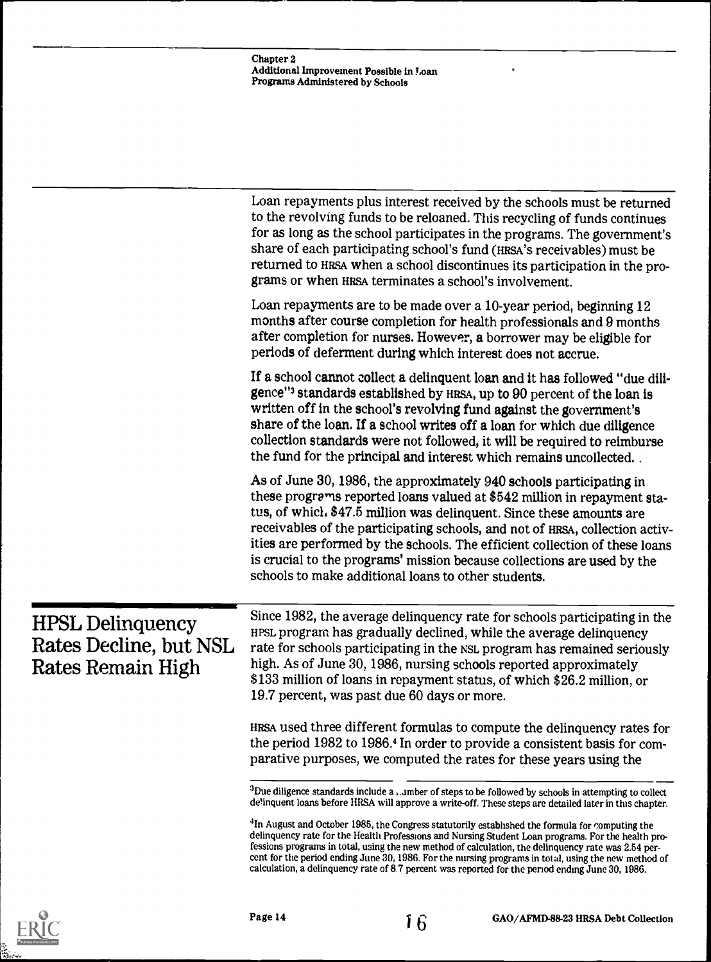|                                                                        | Chapter 2<br>Additional Improvement Possible in Loan<br>Programs Administered by Schools                                                                                                                                                                                                                                                                                                                                                                                                                                                                                                                                                                                                                                                                   |
|------------------------------------------------------------------------|------------------------------------------------------------------------------------------------------------------------------------------------------------------------------------------------------------------------------------------------------------------------------------------------------------------------------------------------------------------------------------------------------------------------------------------------------------------------------------------------------------------------------------------------------------------------------------------------------------------------------------------------------------------------------------------------------------------------------------------------------------|
|                                                                        |                                                                                                                                                                                                                                                                                                                                                                                                                                                                                                                                                                                                                                                                                                                                                            |
|                                                                        | Loan repayments plus interest received by the schools must be returned<br>to the revolving funds to be reloaned. This recycling of funds continues<br>for as long as the school participates in the programs. The government's<br>share of each participating school's fund (HRSA's receivables) must be<br>returned to HRSA when a school discontinues its participation in the pro-<br>grams or when HRSA terminates a school's involvement.                                                                                                                                                                                                                                                                                                             |
|                                                                        | Loan repayments are to be made over a 10-year period, beginning 12<br>months after course completion for health professionals and 9 months<br>after completion for nurses. However, a borrower may be eligible for<br>periods of deferment during which interest does not accrue.                                                                                                                                                                                                                                                                                                                                                                                                                                                                          |
|                                                                        | If a school cannot collect a delinquent loan and it has followed "due dili-<br>gence" <sup>3</sup> standards established by HRSA, up to 90 percent of the loan is<br>written off in the school's revolving fund against the government's<br>share of the loan. If a school writes off a loan for which due diligence<br>collection standards were not followed, it will be required to reimburse<br>the fund for the principal and interest which remains uncollected.                                                                                                                                                                                                                                                                                     |
|                                                                        | As of June 30, 1986, the approximately 940 schools participating in<br>these programs reported loans valued at \$542 million in repayment sta-<br>tus, of which. \$47.5 million was delinquent. Since these amounts are<br>receivables of the participating schools, and not of HRSA, collection activ-<br>ities are performed by the schools. The efficient collection of these loans<br>is crucial to the programs' mission because collections are used by the<br>schools to make additional loans to other students.                                                                                                                                                                                                                                   |
| <b>HPSL Delinquency</b><br>Rates Decline, but NSL<br>Rates Remain High | Since 1982, the average delinquency rate for schools participating in the<br>HPSL program has gradually declined, while the average delinquency<br>rate for schools participating in the NSL program has remained seriously<br>high. As of June 30, 1986, nursing schools reported approximately<br>\$133 million of loans in repayment status, of which \$26.2 million, or<br>19.7 percent, was past due 60 days or more.                                                                                                                                                                                                                                                                                                                                 |
|                                                                        | HRSA used three different formulas to compute the delinquency rates for<br>the period 1982 to 1986. <sup>4</sup> In order to provide a consistent basis for com-<br>parative purposes, we computed the rates for these years using the                                                                                                                                                                                                                                                                                                                                                                                                                                                                                                                     |
|                                                                        | $3$ Due diligence standards include a  umber of steps to be followed by schools in attempting to collect<br>de'inquent loans before HRSA will approve a write-off. These steps are detailed later in this chapter.<br><sup>4</sup> In August and October 1985, the Congress statutorily established the formula for computing the<br>delinquency rate for the Health Professions and Nursing Student Loan programs. For the health pro-<br>fessions programs in total, using the new method of calculation, the delinquency rate was 2.54 per-<br>cent for the period ending June 30, 1986. For the nursing programs in total, using the new method of<br>calculation, a delinquency rate of 8.7 percent was reported for the period ending June 30, 1986. |

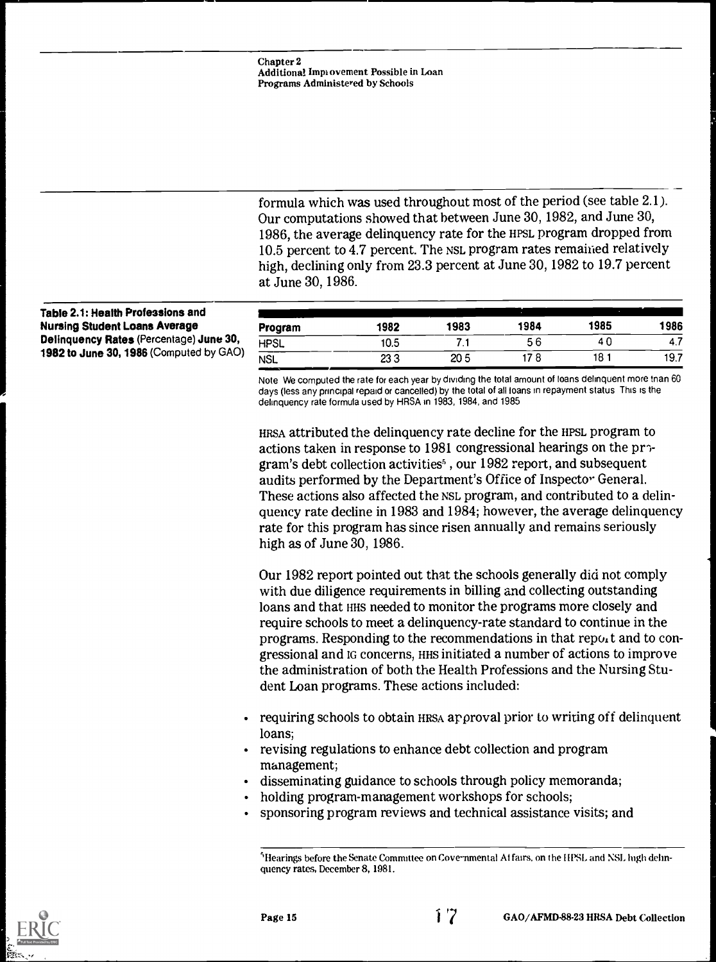formula which was used throughout most of the period (see table 2.1). Our computations showed that between June 30, 1982, and June 30, 1986, the average delinquency rate for the HPSL program dropped from 10.5 percent to 4.7 percent. The NSL program rates remained relatively high, declining only from 23.3 percent at June 30, 1982 to 19.7 percent at June 30, 1986.

#### Table 2.1: Health Professions and Nursing Student Loans Average Delinquency Rates (Percentage) June 30, 1982 to June 30, 1986 (Computed by GAO)

| 1982 | 1983            | 1984    | 1985 | 1986 |
|------|-----------------|---------|------|------|
| 10.5 | .               | 56      | 40   | 4.7  |
| 233  | 20 <sub>5</sub> | 8<br>17 | 18   | 19.7 |
|      |                 |         |      |      |

Note We computed the rate for each year by dividing the total amount of loans delinquent more than 60 days (less any principal repaid or cancelled) by the total of all loans in repayment status This is the delinquency rate formula used by HRSA in 1983, 1984, and 1985

HRSA attributed the delinquency rate decline for the HPSL program to actions taken in response to 1981 congressional hearings on the pr $\sim$ gram's debt collection activities' , our 1982 report, and subsequent audits performed by the Department's Office of Inspector General. These actions also affected the NSL program, and contributed to a delinquency rate decline in 1983 and 1984; however, the average delinquency rate for this program has since risen annually and remains seriously high as of June 30, 1986.

Our 1982 report pointed out that the schools generally did not comply with due diligence requirements in billing and collecting outstanding loans and that HHS needed to monitor the programs more closely and require schools to meet a delinquency-rate standard to continue in the programs. Responding to the recommendations in that report and to congressional and IG concerns, HHS initiated a number of actions to improve the administration of both the Health Professions and the Nursing Student Loan programs. These actions included:

- requiring schools to obtain HRSA approval prior to writing off delinquent loans;
- revising regulations to enhance debt collection and program management;
- disseminating guidance to schools through policy memoranda;
- holding program-management workshops for schools;
- sponsoring program reviews and technical assistance visits; and

<sup>5</sup> Hearings before the Senate Committee on Cove-nmental Affairs, on the HPSL and NSL high delinquency rates, December 8, 1981.



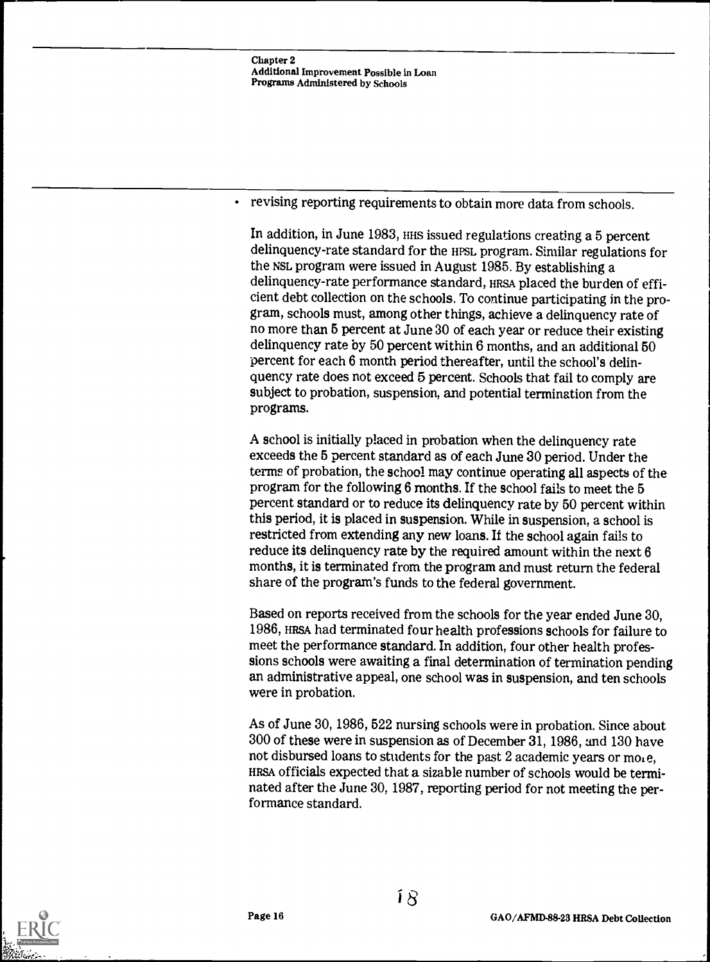Chapter 2 Additional Improvement Possible in Loan Programs Administered by Schools

revising reporting requirements to obtain more data from schools.

In addition, in June 1983, HHS issued regulations creating a 5 percent delinquency-rate standard for the HPSL program. Similar regulations for the NSL program were issued in August 1985. By establishing a delinquency-rate performance standard, HRSA placed the burden of efficient debt collection on the schools. To continue participating in the program, schools must, among other things, achieve a delinquency rate of no more than 5 percent at June 30 of each year or reduce their existing delinquency rate by 50 percent within 6 months, and an additional 50 percent for each 6 month period thereafter, until the school's delinquency rate does not exceed 5 percent. Schools that fail to comply are subject to probation, suspension, and potential termination from the programs.

A school is initially placed in probation when the delinquency rate exceeds the 5 percent standard as of each June 30 period. Under the terms of probation, the school may continue operating all aspects of the program for the following 6 months. If the school fails to meet the 5 percent standard or to reduce its delinquency rate by 50 percent within this period, it is placed in suspension. While in suspension, a school is restricted from extending any new loans. If the school again fails to reduce its delinquency rate by the required amount within the next 6 months, it is terminated from the program and must return the federal share of the program's funds to the federal government.

Based on reports received from the schools for the year ended June 30, 1986, HRSA had terminated four health professions schools for failure to meet the performance standard. In addition, four other health professions schools were awaiting a final determination of termination pending an administrative appeal, one school was in suspension, and ten schools were in probation.

As of June 30, 1986, 522 nursing schools were in probation. Since about 300 of these were in suspension as of December 31, 1986, and 130 have not disbursed loans to students for the past 2 academic years or mole, HRSA officials expected that a sizable number of schools would be terminated after the June 30, 1987, reporting period for not meeting the performance standard.

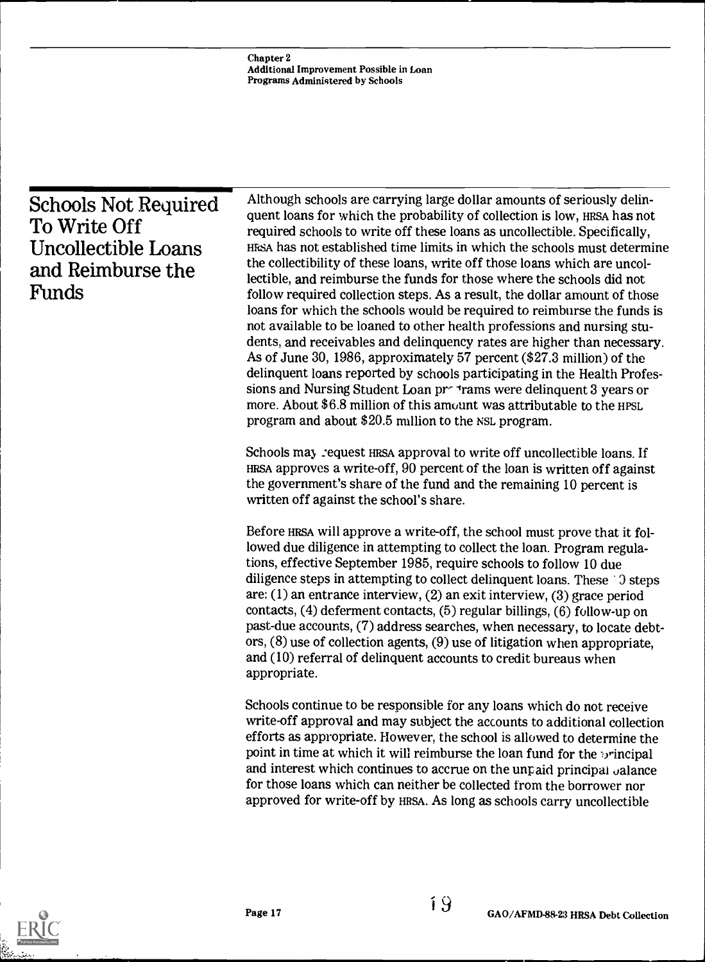|                                                                                                  | Although schools are carrying large dollar amounts of seriously delin-                                                                                                                                                                                                                                                                                                                                                                                                                                                                                                                                                                                                                                                                                                                                                                                                                                                                                                                                                                                                                                                                       |
|--------------------------------------------------------------------------------------------------|----------------------------------------------------------------------------------------------------------------------------------------------------------------------------------------------------------------------------------------------------------------------------------------------------------------------------------------------------------------------------------------------------------------------------------------------------------------------------------------------------------------------------------------------------------------------------------------------------------------------------------------------------------------------------------------------------------------------------------------------------------------------------------------------------------------------------------------------------------------------------------------------------------------------------------------------------------------------------------------------------------------------------------------------------------------------------------------------------------------------------------------------|
| <b>Schools Not Required</b><br>To Write Off<br>Uncollectible Loans<br>and Reimburse the<br>Funds | quent loans for which the probability of collection is low, HRSA has not<br>required schools to write off these loans as uncollectible. Specifically,<br>HESA has not established time limits in which the schools must determine<br>the collectibility of these loans, write off those loans which are uncol-<br>lectible, and reimburse the funds for those where the schools did not<br>follow required collection steps. As a result, the dollar amount of those<br>loans for which the schools would be required to reimburse the funds is<br>not available to be loaned to other health professions and nursing stu-<br>dents, and receivables and delinquency rates are higher than necessary.<br>As of June 30, 1986, approximately 57 percent (\$27.3 million) of the<br>delinquent loans reported by schools participating in the Health Profes-<br>sions and Nursing Student Loan prearance were delinquent 3 years or<br>more. About \$6.8 million of this amount was attributable to the HPSL<br>program and about \$20.5 million to the NSL program.<br>Schools may request HRSA approval to write off uncollectible loans. If |
|                                                                                                  | HRSA approves a write-off, 90 percent of the loan is written off against<br>the government's share of the fund and the remaining 10 percent is<br>written off against the school's share.                                                                                                                                                                                                                                                                                                                                                                                                                                                                                                                                                                                                                                                                                                                                                                                                                                                                                                                                                    |
|                                                                                                  | Before HRSA will approve a write-off, the school must prove that it fol-<br>lowed due diligence in attempting to collect the loan. Program regula-<br>tions, effective September 1985, require schools to follow 10 due<br>diligence steps in attempting to collect delinquent loans. These 10 steps<br>are: (1) an entrance interview, (2) an exit interview, (3) grace period<br>contacts, $(4)$ deferment contacts, $(5)$ regular billings, $(6)$ follow-up on<br>past-due accounts, (7) address searches, when necessary, to locate debt-<br>ors, $(8)$ use of collection agents, $(9)$ use of litigation when appropriate,<br>and (10) referral of delinquent accounts to credit bureaus when<br>appropriate.                                                                                                                                                                                                                                                                                                                                                                                                                           |
|                                                                                                  | Schools continue to be responsible for any loans which do not receive<br>write-off approval and may subject the accounts to additional collection<br>efforts as appropriate. However, the school is allowed to determine the<br>point in time at which it will reimburse the loan fund for the principal<br>and interest which continues to accrue on the unpaid principal valance<br>for those loans which can neither be collected from the borrower nor<br>approved for write-off by HRSA. As long as schools carry uncollectible                                                                                                                                                                                                                                                                                                                                                                                                                                                                                                                                                                                                         |
|                                                                                                  |                                                                                                                                                                                                                                                                                                                                                                                                                                                                                                                                                                                                                                                                                                                                                                                                                                                                                                                                                                                                                                                                                                                                              |

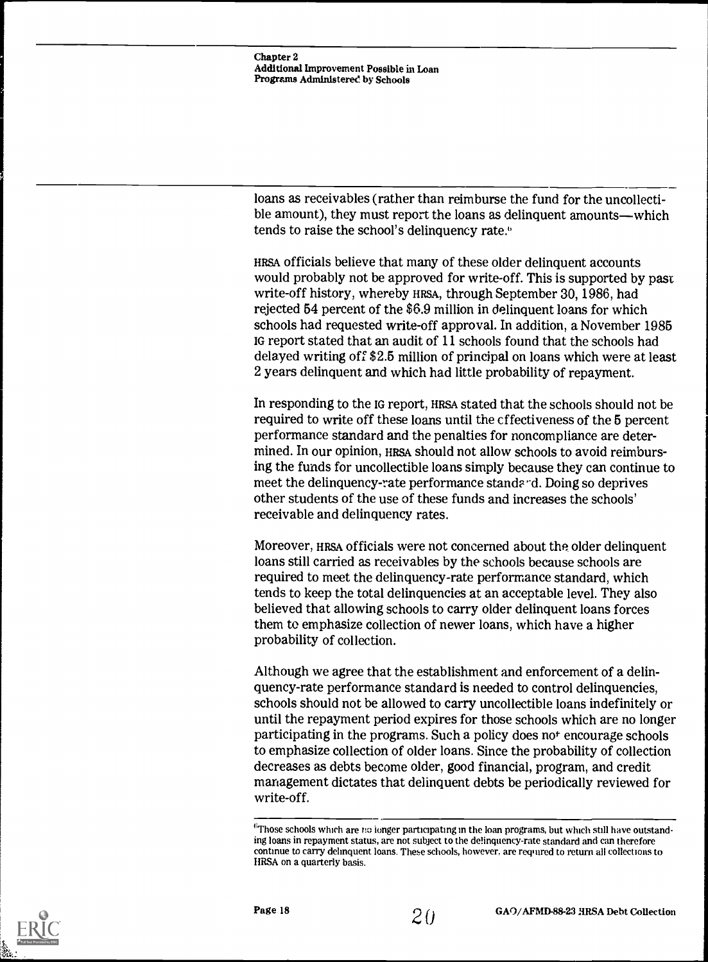Chapter 2 Additional Improvement Possible in Loan Programs Administered by Schools

loans as receivables (rather than reimburse the fund for the uncollectible amount), they must report the loans as delinquent amounts—which tends to raise the school's delinquency rate.<sup>6</sup>

HRSA officials believe that many of these older delinquent accounts would probably not be approved for write-off. This is supported by past write-off history, whereby HRSA, through September 30, 1986, had rejected 54 percent of the \$6.9 million in delinquent loans for which schools had requested write-off approval. In addition, a November 1985 IG report stated that an audit of 11 schools found that the schools had delayed writing off \$2.5 million of principal on loans which were at least 2 years delinquent and which had little probability of repayment.

In responding to the IG report, HRSA stated that the schools should not be required to write off these loans until the effectiveness of the 5 percent performance standard and the penalties for noncompliance are determined. In our opinion, HRSA should not allow schools to avoid reimbursing the funds for uncollectible loans simply because they can continue to meet the delinquency-rate performance standard. Doing so deprives other students of the use of these funds and increases the schools' receivable and delinquency rates.

Moreover, HRSA officials were not concerned about the older delinquent loans still carried as receivables by the schools because schools are required to meet the delinquency-rate performance standard, which tends to keep the total delinquencies at an acceptable level. They also believed that allowing schools to carry older delinquent loans forces them to emphasize collection of newer loans, which have a higher probability of collection.

Although we agree that the establishment and enforcement of a delinquency-rate performance standard is needed to control delinquencies, schools should not be allowed to carry uncollectible loans indefinitely or until the repayment period expires for those schools which are no longer participating in the programs. Such a policy does not encourage schools to emphasize collection of older loans. Since the probability of collection decreases as debts become older, good financial, program, and credit management dictates that delinquent debts be periodically reviewed for write-off.



 $\rm ^6$ Those schools which are no longer participating in the loan programs, but which still have outstanding loans in repayment status, are not subject to the delinquency -rate standard and can therefore continue to carry delinquent loans. These schools, however, are required to return all collections to HRSA on a quarterly basis.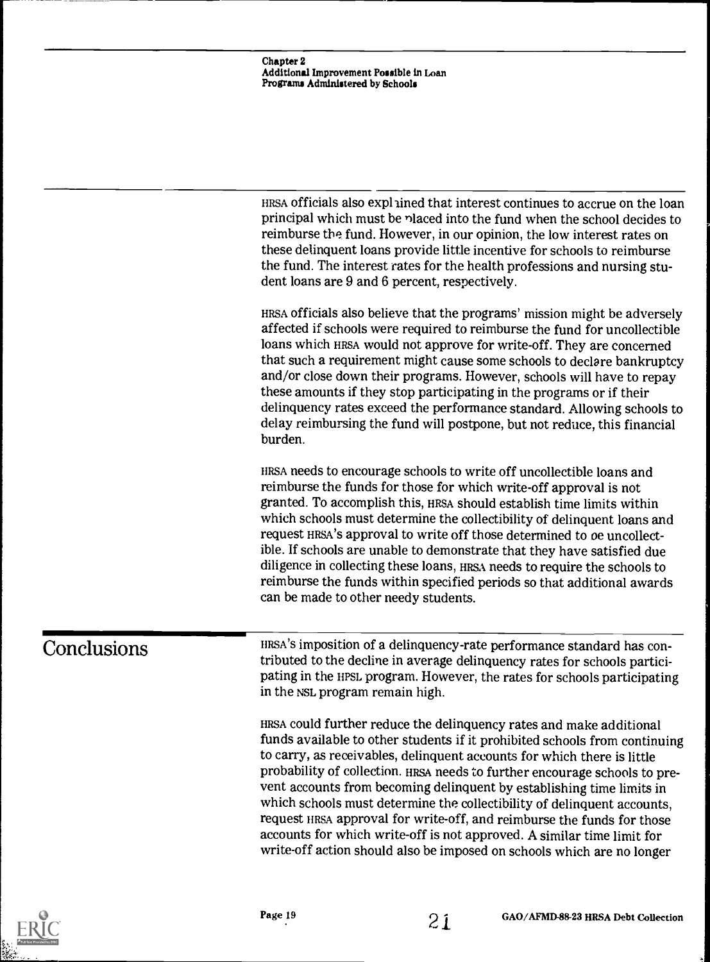Chapter 2 Additional Improvement Possible in Loan Programs Administered by Schools

HRSA officials also exphined that interest continues to accrue on the loan principal which must be nlaced into the fund when the school decides to reimburse the fund. However, in our opinion, the low interest rates on these delinquent loans provide little incentive for schools to reimburse the fund. The interest rates for the health professions and nursing student loans are 9 and 6 percent, respectively.

HRSA officials also believe that the programs' mission might be adversely affected if schools were required to reimburse the fund for uncollectible loans which HRSA would not approve for write-off. They are concerned that such a requirement might cause some schools to declare bankruptcy and/or close down their programs. However, schools will have to repay these amounts if they stop participating in the programs or if their delinquency rates exceed the performance standard. Allowing schools to delay reimbursing the fund will postpone, but not reduce, this financial burden.

HRSA needs to encourage schools to write off uncollectible loans and reimburse the funds for those for which write-off approval is not granted. To accomplish this, HRSA should establish time limits within which schools must determine the collectibility of delinquent loans and request HRSA'S approval to write off those determined to oe uncollectible. If schools are unable to demonstrate that they have satisfied due diligence in collecting these loans, HRSA needs to require the schools to reimburse the funds within specified periods so that additional awards can be made to other needy students.

Conclusions HRSA's imposition of a delinquency-rate performance standard has contributed to the decline in average delinquency rates for schools participating in the HPSL program. However, the rates for schools participating in the NSL program remain high.

> HRSA could further reduce the delinquency rates and make additional funds available to other students if it prohibited schools from continuing to carry, as receivables, delinquent accounts for which there is little probability of collection. HRSA needs to further encourage schools to prevent accounts from becoming delinquent by establishing time limits in which schools must determine the collectibility of delinquent accounts, request HRSA approval for write-off, and reimburse the funds for those accounts for which write-off is not approved. A similar time limit for write-off action should also be imposed on schools which are no longer

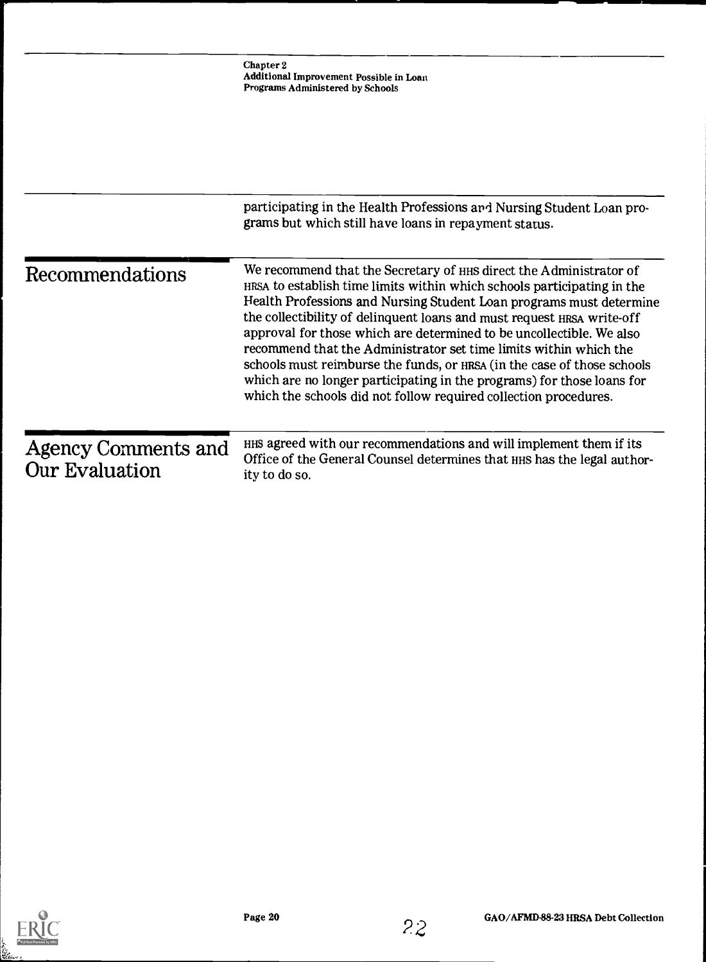|                                       | Chapter 2<br>Additional Improvement Possible in Loan<br>Programs Administered by Schools                                                                                                                                                                                                                                                                                                                                                                                                                                                                                                                                                                             |
|---------------------------------------|----------------------------------------------------------------------------------------------------------------------------------------------------------------------------------------------------------------------------------------------------------------------------------------------------------------------------------------------------------------------------------------------------------------------------------------------------------------------------------------------------------------------------------------------------------------------------------------------------------------------------------------------------------------------|
|                                       |                                                                                                                                                                                                                                                                                                                                                                                                                                                                                                                                                                                                                                                                      |
|                                       | participating in the Health Professions and Nursing Student Loan pro-<br>grams but which still have loans in repayment status.                                                                                                                                                                                                                                                                                                                                                                                                                                                                                                                                       |
| Recommendations                       | We recommend that the Secretary of HHS direct the Administrator of<br>HRSA to establish time limits within which schools participating in the<br>Health Professions and Nursing Student Loan programs must determine<br>the collectibility of delinquent loans and must request HRSA write-off<br>approval for those which are determined to be uncollectible. We also<br>recommend that the Administrator set time limits within which the<br>schools must reimburse the funds, or HRSA (in the case of those schools<br>which are no longer participating in the programs) for those loans for<br>which the schools did not follow required collection procedures. |
| Agency Comments and<br>Our Evaluation | HHS agreed with our recommendations and will implement them if its<br>Office of the General Counsel determines that HHS has the legal author-<br>ity to do so.                                                                                                                                                                                                                                                                                                                                                                                                                                                                                                       |
|                                       |                                                                                                                                                                                                                                                                                                                                                                                                                                                                                                                                                                                                                                                                      |

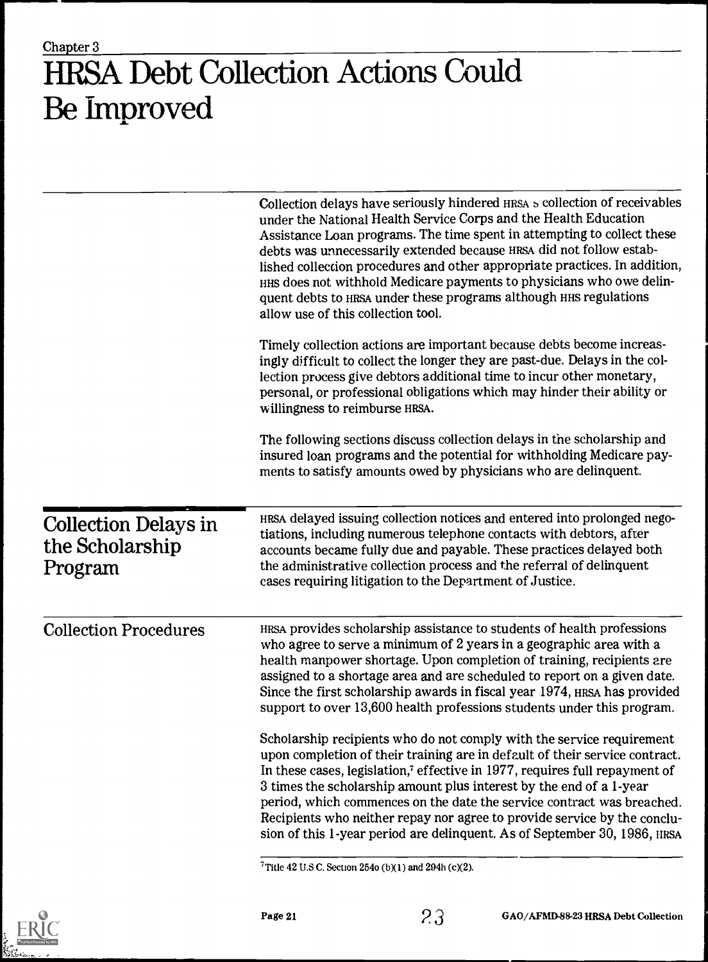### Chapter 3 HRSA Debt Collection Actions Could Be Improved

|                                                           | Collection delays have seriously hindered HRSA s collection of receivables<br>under the National Health Service Corps and the Health Education<br>Assistance Loan programs. The time spent in attempting to collect these<br>debts was unnecessarily extended because HRSA did not follow estab-<br>lished collection procedures and other appropriate practices. In addition,<br>HHS does not withhold Medicare payments to physicians who owe delin-<br>quent debts to HRSA under these programs although HHS regulations<br>allow use of this collection tool. |
|-----------------------------------------------------------|-------------------------------------------------------------------------------------------------------------------------------------------------------------------------------------------------------------------------------------------------------------------------------------------------------------------------------------------------------------------------------------------------------------------------------------------------------------------------------------------------------------------------------------------------------------------|
|                                                           | Timely collection actions are important because debts become increas-<br>ingly difficult to collect the longer they are past-due. Delays in the col-<br>lection process give debtors additional time to incur other monetary,<br>personal, or professional obligations which may hinder their ability or<br>willingness to reimburse HRSA.                                                                                                                                                                                                                        |
|                                                           | The following sections discuss collection delays in the scholarship and<br>insured loan programs and the potential for withholding Medicare pay-<br>ments to satisfy amounts owed by physicians who are delinquent.                                                                                                                                                                                                                                                                                                                                               |
| <b>Collection Delays in</b><br>the Scholarship<br>Program | HRSA delayed issuing collection notices and entered into prolonged nego-<br>tiations, including numerous telephone contacts with debtors, after<br>accounts became fully due and payable. These practices delayed both<br>the administrative collection process and the referral of delinquent<br>cases requiring litigation to the Department of Justice.                                                                                                                                                                                                        |
| <b>Collection Procedures</b>                              | HRSA provides scholarship assistance to students of health professions<br>who agree to serve a minimum of 2 years in a geographic area with a<br>health manpower shortage. Upon completion of training, recipients are<br>assigned to a shortage area and are scheduled to report on a given date.<br>Since the first scholarship awards in fiscal year 1974, HRSA has provided<br>support to over 13,600 health professions students under this program.                                                                                                         |
|                                                           | Scholarship recipients who do not comply with the service requirement<br>upon completion of their training are in default of their service contract.<br>In these cases, legislation, <sup>7</sup> effective in 1977, requires full repayment of<br>3 times the scholarship amount plus interest by the end of a 1-year<br>period, which commences on the date the service contract was breached.<br>Recipients who neither repay nor agree to provide service by the conclu-<br>sion of this 1-year period are delinquent. As of September 30, 1986, HRSA         |
|                                                           |                                                                                                                                                                                                                                                                                                                                                                                                                                                                                                                                                                   |

 $\overline{7}$ Title 42 U.S C. Section 254o (b)(1) and 294h (c)(2).

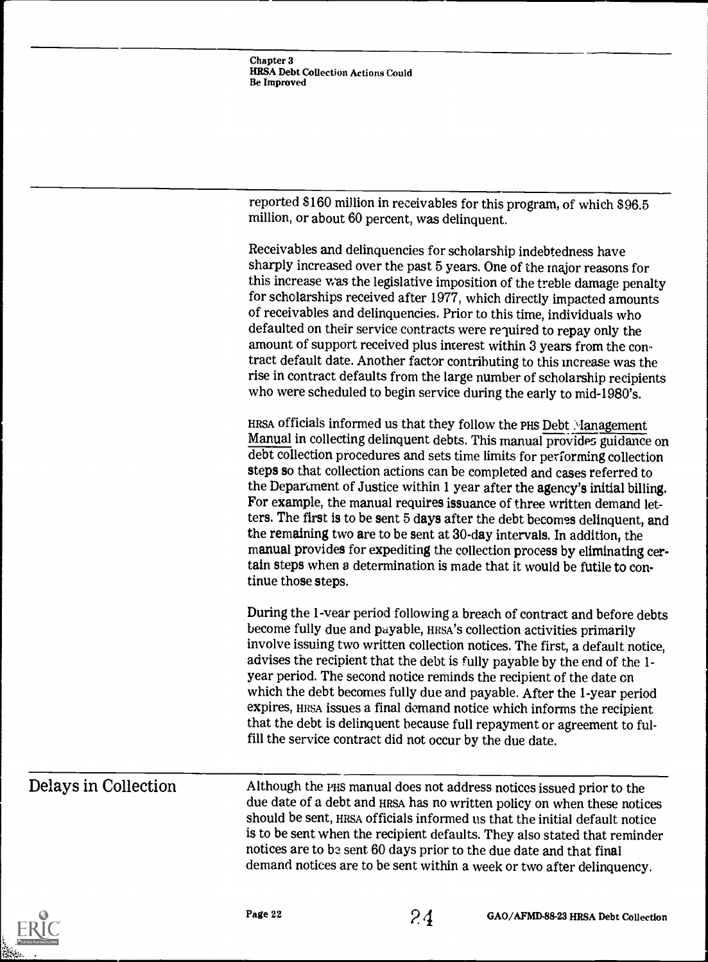| Chapter 3                          |  |
|------------------------------------|--|
| HRSA Debt Collection Actions Could |  |
| Be Improved                        |  |

reported \$160 million in receivables for this program, of which \$96.5 million, or about 60 percent, was delinquent.

Receivables and delinquencies for scholarship indebtedness have sharply increased over the past 5 years. One of the major reasons for this increase was the legislative imposition of the treble damage penalty for scholarships received after 1977, which directly impacted amounts of receivables and delinquencies. Prior to this time, individuals who defaulted on their service contracts were required to repay only the amount of support received plus interest within 3 years from the contract default date. Another factor contributing to this increase was the rise in contract defaults from the large number of scholarship recipients who were scheduled to begin service during the early to mid-1980's. HRSA officials informed us that they follow the PHS Debt Management Manual in collecting delinquent debts. This manual provides guidance on debt collection procedures and sets time limits for performing collection steps so that collection actions can be completed and cases referred to the Department of Justice within 1 year after the agency's initial billing. For example, the manual requires issuance of three written demand letters. The first is to be sent 5 days after the debt becomes delinquent, and the remaining two are to be sent at 30-day intervals. In addition, the manual provides for expediting the collection process by eliminating certain steps when a determination is made that it would be futile to continue those steps. During the 1-year period following a breach of contract and before debts

become fully due and payable, HRSA'S collection activities primarily involve issuing two written collection notices. The first, a default notice, advises the recipient that the debt is fully payable by the end of the 1 year period. The second notice reminds the recipient of the date on which the debt becomes fully due and payable. After the 1-year period expires, HRSA issues a final demand notice which informs the recipient that the debt is delinquent because full repayment or agreement to fulfill the service contract did not occur by the due date.

Delays in Collection Although the PHS manual does not address notices issued prior to the due date of a debt and HRSA has no written policy on when these notices should be sent, HRSA officials informed us that the initial default notice is to be sent when the recipient defaults. They also stated that reminder notices are to be sent 60 days prior to the due date and that final demand notices are to be sent within a week or two after delinquency.



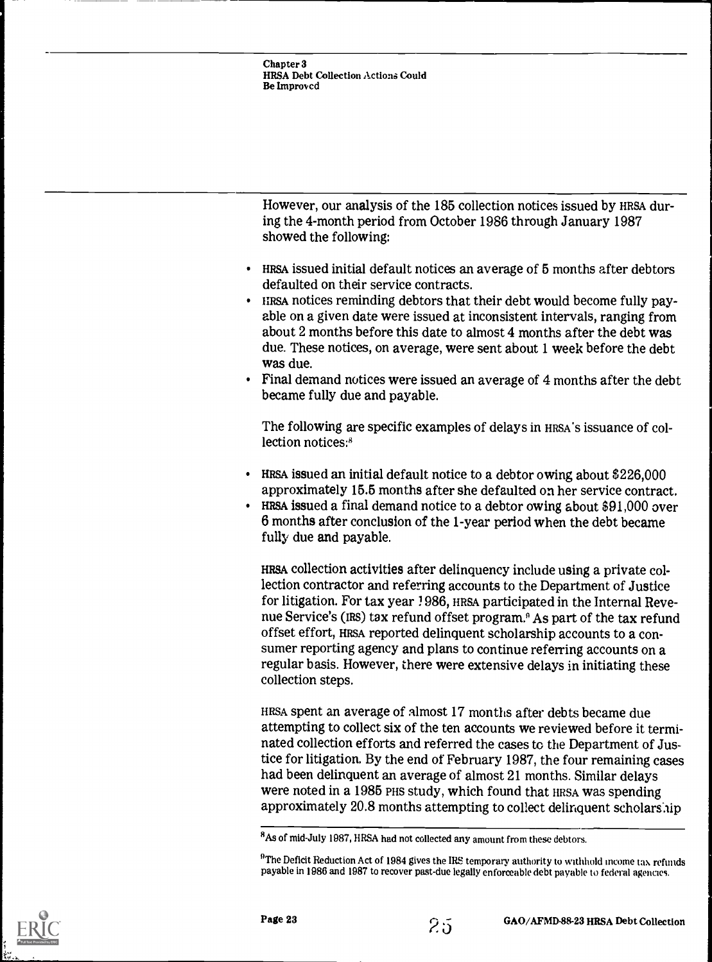However, our analysis of the 185 collection notices issued by HRSA during the 4-month period from October 1986 through January 1987 showed the following:

- HRSA issued initial default notices an average of 5 months after debtors defaulted on their service contracts.
- HRSA notices reminding debtors that their debt would become fully payable on a given date were issued at inconsistent intervals, ranging from about 2 months before this date to almost 4 months after the debt was due. These notices, on average, were sent about 1 week before the debt was due.
- Final demand notices were issued an average of 4 months after the debt became fully due and payable.

The following are specific examples of delays in HRSA's issuance of collection notices:<sup>8</sup>

- HRSA issued an initial default notice to a debtor owing about \$226,000 approximately 15.5 months after she defaulted on her service contract.
- HRSA issued a final demand notice to a debtor owing about \$91,000 over 6 months after conclusion of the 1-year period when the debt became fully due and payable.

HRSA collection activities after delinquency include using a private collection contractor and referring accounts to the Department of Justice for litigation. For tax year 1986, HRSA participated in the Internal Revenue Service's (IRs) tax refund offset program.° As part of the tax refund offset effort, HRSA reported delinquent scholarship accounts to a consumer reporting agency and plans to continue referring accounts on a regular basis. However, there were extensive delays in initiating these collection steps.

HRSA spent an average of almost 17 months after debts became due attempting to collect six of the ten accounts we reviewed before it terminated collection efforts and referred the cases to the Department of Justice for litigation. By the end of February 1987, the four remaining cases had been delinquent an average of almost 21 months. Similar delays were noted in a 1985 PHS study, which found that HRSA was spending approximately 20.8 months attempting to collect delinquent scholarship





<sup>8</sup>As of mid-July 1987, HRSA had not collected any amount from these debtors.

 $^{9}$ The Deficit Reduction Act of 1984 gives the IRS temporary authority to withhold income tax refunds payable in 1986 and 1987 to recover past-due legally enforceable debt payable to federal agencies.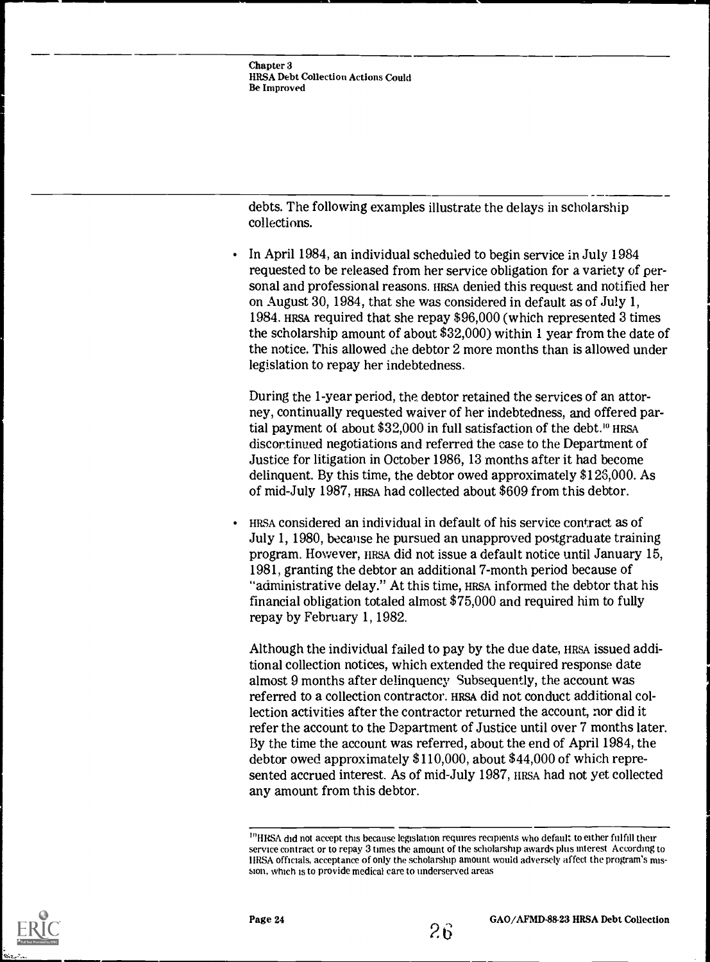debts. The following examples illustrate the delays in scholarship collections.

In April 1984, an individual scheduled to begin service in July 1984 requested to be released from her service obligation for a variety of personal and professional reasons. HRSA denied this request and notified her on August 30, 1984, that she was considered in default as of July 1, 1984. HRSA required that she repay \$96,000 (which represented 3 times the scholarship amount of about \$32,000) within 1 year from the date of the notice. This allowed the debtor 2 more months than is allowed under legislation to repay her indebtedness.

During the 1-year period, the debtor retained the services of an attorney, continually requested waiver of her indebtedness, and offered partial payment of about \$32,000 in full satisfaction of the debt.'" HRSA discor.tinued negotiations and referred the case to the Department of Justice for litigation in October 1986, 13 months after it had become delinquent. By this time, the debtor owed approximately \$126,000. As of mid-July 1987, HRSA had collected about \$609 from this debtor.

HRSA considered an individual in default of his service contract as of July 1, 1980, because he pursued an unapproved postgraduate training program. However, IIRSA did not issue a default notice until January 15, 1981, granting the debtor an additional 7-month period because of "administrative delay." At this time, HRSA informed the debtor that his financial obligation totaled almost \$75,000 and required him to fully repay by February 1, 1982.

Although the individual failed to pay by the due date, HRSA issued additional collection notices, which extended the required response date almost 9 months after delinquency Subsequently, the account was referred to a collection contractor. HRSA did not conduct additional collection activities after the contractor returned the account, nor did it refer the account to the Department of Justice until over 7 months later. By the time the account was referred, about the end of April 1984, the debtor owed approximately \$110,000, about \$44,000 of which represented accrued interest. As of mid-July 1987, HRSA had not yet collected any amount from this debtor.





<sup>&</sup>lt;sup>10</sup>HRSA did not accept this because legislation requires recipients who default to either fulfill their service contract or to repay 3 times the amount of the scholarship awards plus interest According to HRSA officials, acceptance of only the scholarship amount would adversely affect the program's mission, which is to provide medical care to underserved areas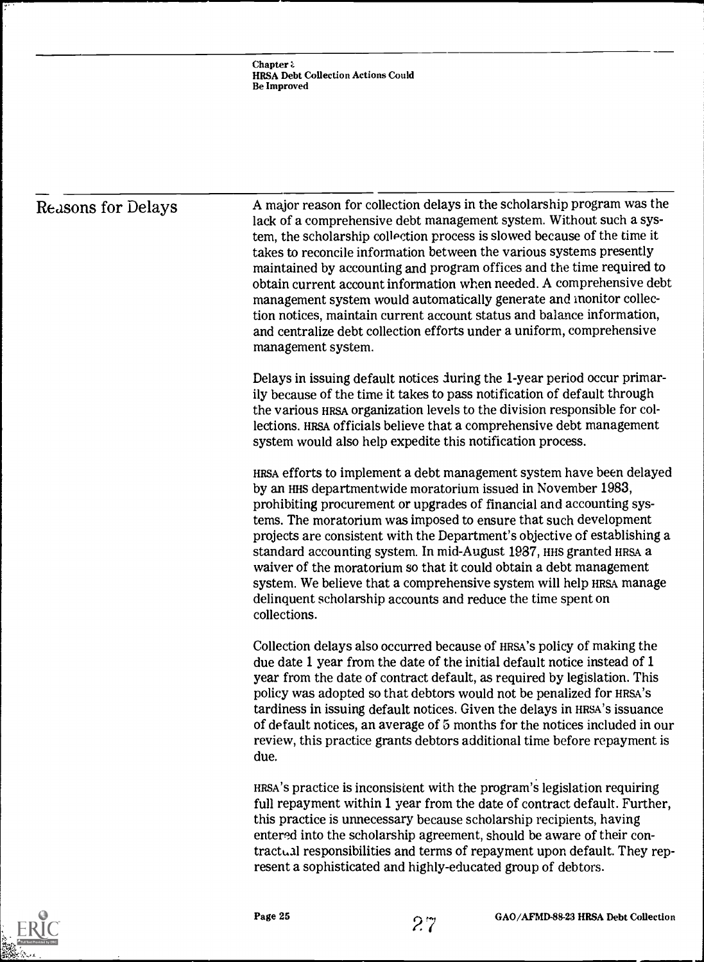### Reasons for Delays

A major reason for collection delays in the scholarship program was the lack of a comprehensive debt management system. Without such a system, the scholarship collection process is slowed because of the time it takes to reconcile information between the various systems presently maintained by accounting and program offices and the time required to obtain current account information when needed. A comprehensive debt management system would automatically generate and inonitor collection notices, maintain current account status and balance information, and centralize debt collection efforts under a uniform, comprehensive management system.

Delays in issuing default notices during the 1-year period occur primarily because of the time it takes to pass notification of default through the various HRSA organization levels to the division responsible for collections. HRSA officials believe that a comprehensive debt management system would also help expedite this notification process.

HRSA efforts to implement a debt management system have been delayed by an HHS departmentwide moratorium issued in November 1983, prohibiting procurement or upgrades of financial and accounting systems. The moratorium was imposed to ensure that such development projects are consistent with the Department's objective of establishing a standard accounting system. In mid-August 1987, HHS granted HRSA a waiver of the moratorium so that it could obtain a debt management system. We believe that a comprehensive system will help HRSA manage delinquent scholarship accounts and reduce the time spent on collections.

Collection delays also occurred because of HRSA'S policy of making the due date 1 year from the date of the initial default notice instead of 1 year from the date of contract default, as required by legislation. This policy was adopted so that debtors would not be penalized for HRSA'S tardiness in issuing default notices. Given the delays in HRSA'S issuance of default notices, an average of 5 months for the notices included in our review, this practice grants debtors additional time before repayment is due.

HRSA'S practice is inconsistent with the program's legislation requiring full repayment within 1 year from the date of contract default. Further, this practice is unnecessary because scholarship recipients, having entered into the scholarship agreement, should be aware of their contractual responsibilities and terms of repayment upon default. They represent a sophisticated and highly-educated group of debtors.

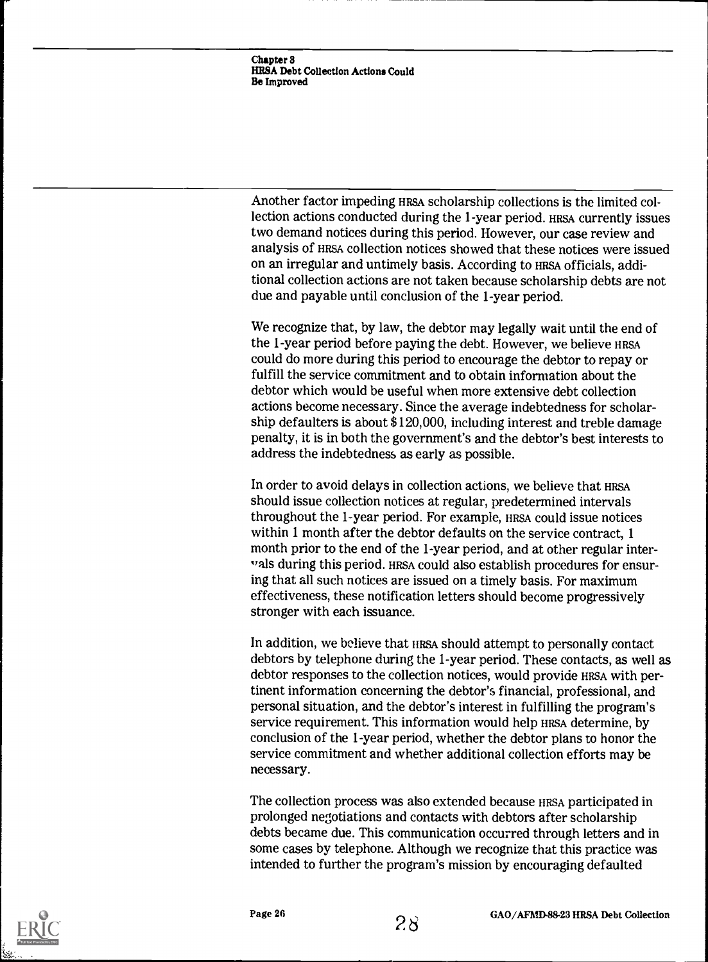Another factor impeding HRSA scholarship collections is the limited collection actions conducted during the 1-year period. HRSA currently issues two demand notices during this period. However, our case review and analysis of HRSA collection notices showed that these notices were issued on an irregular and untimely basis. According to HRSA officials, additional collection actions are not taken because scholarship debts are not due and payable until conclusion of the 1-year period.

We recognize that, by law, the debtor may legally wait until the end of the 1-year period before paying the debt. However, we believe HRSA could do more during this period to encourage the debtor to repay or fulfill the service commitment and to obtain information about the debtor which would be useful when more extensive debt collection actions become necessary. Since the average indebtedness for scholarship defaulters is about \$120,000, including interest and treble damage penalty, it is in both the government's and the debtor's best interests to address the indebtedness as early as possible.

In order to avoid delays in collection actions, we believe that HRSA should issue collection notices at regular, predetermined intervals throughout the 1-year period. For example, HRSA could issue notices within 1 month after the debtor defaults on the service contract, 1 month prior to the end of the 1-year period, and at other regular intervals during this period. HRSA could also establish procedures for ensuring that all such notices are issued on a timely basis. For maximum effectiveness, these notification letters should become progressively stronger with each issuance.

In addition, we believe that IIRSA should attempt to personally contact debtors by telephone during the 1-year period. These contacts, as well as debtor responses to the collection notices, would provide HRSA with pertinent information concerning the debtor's financial, professional, and personal situation, and the debtor's interest in fulfilling the program's service requirement. This information would help HRSA determine, by conclusion of the 1-year period, whether the debtor plans to honor the service commitment and whether additional collection efforts may be necessary.

The collection process was also extended because HRSA participated in prolonged negotiations and contacts with debtors after scholarship debts became due. This communication occurred through letters and in some cases by telephone. Although we recognize that this practice was intended to further the program's mission by encouraging defaulted



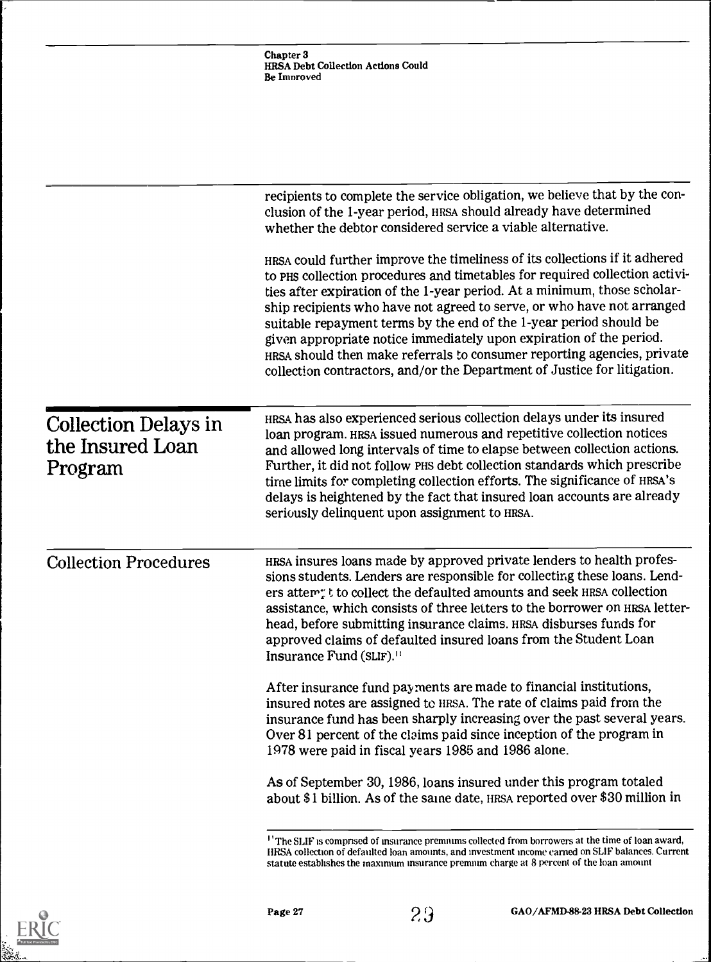|                                                     | Chapter 3<br>HRSA Debt Collection Actions Could<br><b>Be Improved</b>                                                                                                                                                                                                                                                                                                                                                                                                                                                                                                                                               |
|-----------------------------------------------------|---------------------------------------------------------------------------------------------------------------------------------------------------------------------------------------------------------------------------------------------------------------------------------------------------------------------------------------------------------------------------------------------------------------------------------------------------------------------------------------------------------------------------------------------------------------------------------------------------------------------|
|                                                     |                                                                                                                                                                                                                                                                                                                                                                                                                                                                                                                                                                                                                     |
|                                                     | recipients to complete the service obligation, we believe that by the con-<br>clusion of the 1-year period, HRSA should already have determined<br>whether the debtor considered service a viable alternative.                                                                                                                                                                                                                                                                                                                                                                                                      |
|                                                     | HRSA could further improve the timeliness of its collections if it adhered<br>to PHS collection procedures and timetables for required collection activi-<br>ties after expiration of the 1-year period. At a minimum, those scholar-<br>ship recipients who have not agreed to serve, or who have not arranged<br>suitable repayment terms by the end of the 1-year period should be<br>given appropriate notice immediately upon expiration of the period.<br>HRSA should then make referrals to consumer reporting agencies, private<br>collection contractors, and/or the Department of Justice for litigation. |
| Collection Delays in<br>the Insured Loan<br>Program | HRSA has also experienced serious collection delays under its insured<br>loan program. HRSA issued numerous and repetitive collection notices<br>and allowed long intervals of time to elapse between collection actions.<br>Further, it did not follow PHS debt collection standards which prescribe<br>time limits for completing collection efforts. The significance of HRSA's<br>delays is heightened by the fact that insured loan accounts are already<br>seriously delinquent upon assignment to HRSA.                                                                                                      |
| <b>Collection Procedures</b>                        | HRSA insures loans made by approved private lenders to health profes-<br>sions students. Lenders are responsible for collecting these loans. Lend-<br>ers attem; t to collect the defaulted amounts and seek HRSA collection<br>assistance, which consists of three letters to the borrower on HRSA letter-<br>head, before submitting insurance claims. HRSA disburses funds for<br>approved claims of defaulted insured loans from the Student Loan<br>Insurance Fund (SLIF). <sup>11</sup>                                                                                                                       |
|                                                     | After insurance fund payments are made to financial institutions,<br>insured notes are assigned to HRSA. The rate of claims paid from the<br>insurance fund has been sharply increasing over the past several years.<br>Over 81 percent of the claims paid since inception of the program in<br>1978 were paid in fiscal years 1985 and 1986 alone.                                                                                                                                                                                                                                                                 |
|                                                     | As of September 30, 1986, loans insured under this program totaled<br>about \$1 billion. As of the same date, HRSA reported over \$30 million in                                                                                                                                                                                                                                                                                                                                                                                                                                                                    |
|                                                     | <sup>1</sup> 'The SLIF is comprised of insurance premiums collected from borrowers at the time of loan award,<br>HRSA collection of defaulted loan amounts, and investment income carned on SLIF balances. Current                                                                                                                                                                                                                                                                                                                                                                                                  |

statute establishes the maximum insurance premium charge at 8 percent of the loan amount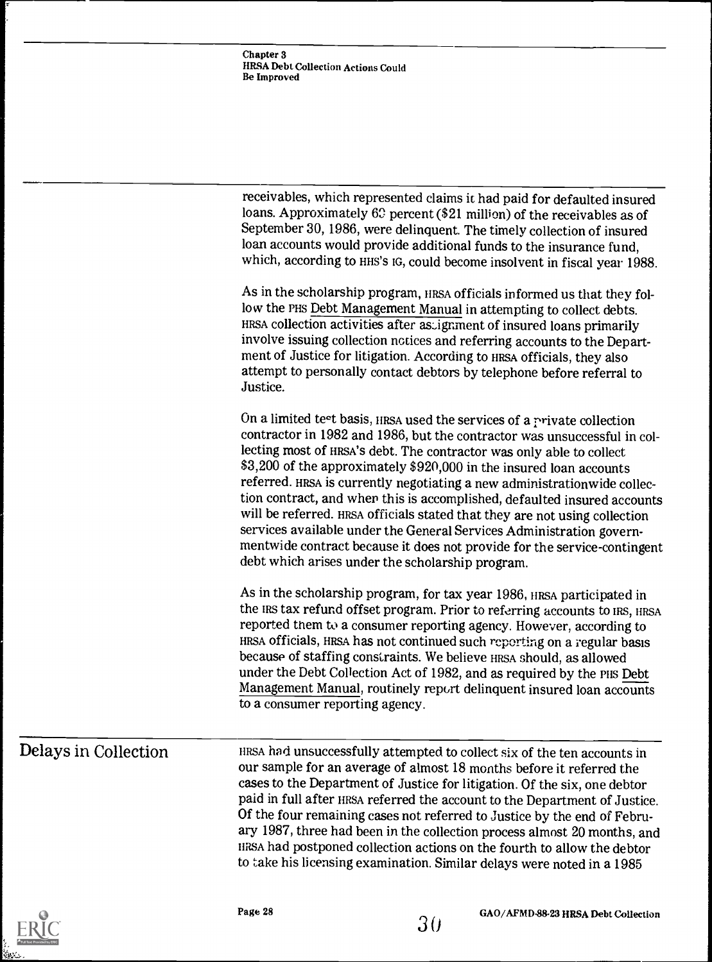| receivables, which represented claims it had paid for defaulted insured   |  |
|---------------------------------------------------------------------------|--|
| loans. Approximately 62 percent (\$21 million) of the receivables as of   |  |
| September 30, 1986, were delinquent. The timely collection of insured     |  |
| loan accounts would provide additional funds to the insurance fund,       |  |
| which, according to HHS's IG, could become insolvent in fiscal year 1988. |  |

As in the scholarship program, HRSA officials informed us that they follow the PHS Debt Management Manual in attempting to collect debts. HRSA collection activities after assignment of insured loans primarily involve issuing collection notices and referring accounts to the Department of Justice for litigation. According to HRSA officials, they also attempt to personally contact debtors by telephone before referral to Justice.

On a limited test basis, HRSA used the services of a private collection contractor in 1982 and 1986, but the contractor was unsuccessful in collecting most of HRSA'S debt. The contractor was only able to collect \$3,200 of the approximately \$920,000 in the insured loan accounts referred. HRSA is currently negotiating a new administrationwide collection contract, and when this is accomplished, defaulted insured accounts will be referred. HRSA officials stated that they are not using collection services available under the General Services Administration governmentwide contract because it does not provide for the service-contingent debt which arises under the scholarship program.

As in the scholarship program, for tax year 1986, HRSA participated in the IRS tax refund offset program. Prior to referring accounts to IRS, HRSA reported them to a consumer reporting agency. However, according to HRSA officials, HRSA has not continued such reporting on a regular basis because of staffing constraints. We believe HRSA should, as allowed under the Debt Collection Act of 1982, and as required by the PHS Debt Management Manual, routinely report delinquent insured loan accounts to a consumer reporting agency.

### Delays in Collection

HRSA had unsuccessfully attempted to collect six of the ten accounts in our sample for an average of almost 18 months before it referred the cases to the Department of Justice for litigation. Of the six, one debtor paid in full after HRSA referred the account to the Department of Justice. Of the four remaining cases not referred to Justice by the end of February 1987, three had been in the collection process almost 20 months, and HRSA had postponed collection actions on the fourth to allow the debtor to take his licensing examination. Similar delays were noted in a 1985

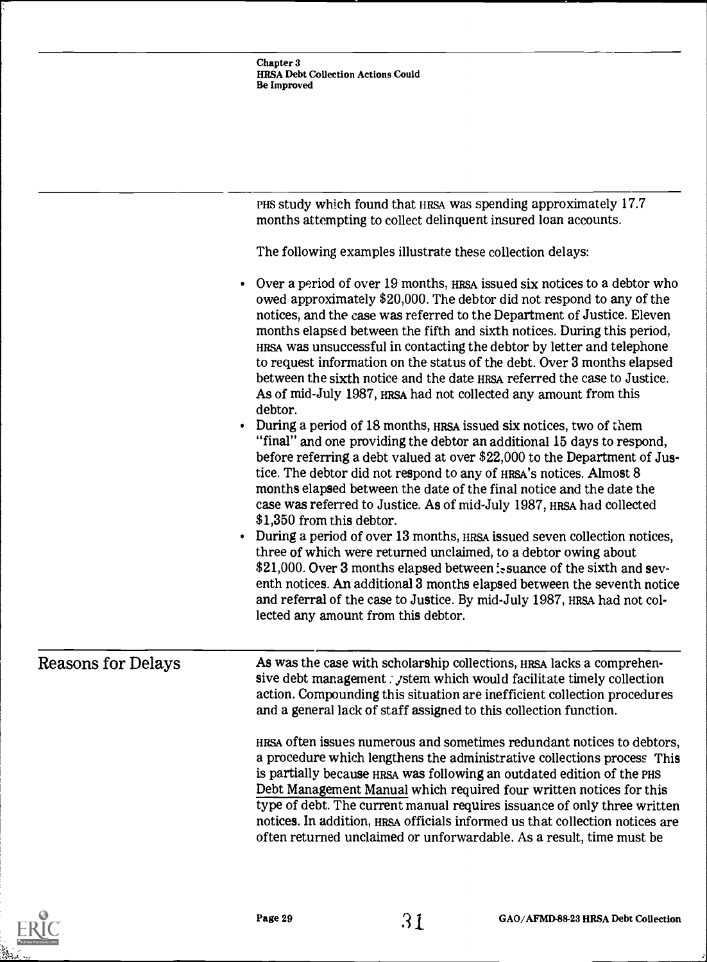|                           | Chapter 3<br><b>HRSA Debt Collection Actions Could</b><br><b>Be Improved</b>                                                                                                                                                                                                                                                                                                                                                                                                                                                                                                                                                                                                                                                                                                                                                                                                                                                                                                                                                                                                                                                                                                                                                                                                                                                                                                                                                                                                                                                     |
|---------------------------|----------------------------------------------------------------------------------------------------------------------------------------------------------------------------------------------------------------------------------------------------------------------------------------------------------------------------------------------------------------------------------------------------------------------------------------------------------------------------------------------------------------------------------------------------------------------------------------------------------------------------------------------------------------------------------------------------------------------------------------------------------------------------------------------------------------------------------------------------------------------------------------------------------------------------------------------------------------------------------------------------------------------------------------------------------------------------------------------------------------------------------------------------------------------------------------------------------------------------------------------------------------------------------------------------------------------------------------------------------------------------------------------------------------------------------------------------------------------------------------------------------------------------------|
|                           |                                                                                                                                                                                                                                                                                                                                                                                                                                                                                                                                                                                                                                                                                                                                                                                                                                                                                                                                                                                                                                                                                                                                                                                                                                                                                                                                                                                                                                                                                                                                  |
|                           |                                                                                                                                                                                                                                                                                                                                                                                                                                                                                                                                                                                                                                                                                                                                                                                                                                                                                                                                                                                                                                                                                                                                                                                                                                                                                                                                                                                                                                                                                                                                  |
|                           | PHS study which found that HRSA was spending approximately 17.7<br>months attempting to collect delinquent insured loan accounts.                                                                                                                                                                                                                                                                                                                                                                                                                                                                                                                                                                                                                                                                                                                                                                                                                                                                                                                                                                                                                                                                                                                                                                                                                                                                                                                                                                                                |
|                           | The following examples illustrate these collection delays:                                                                                                                                                                                                                                                                                                                                                                                                                                                                                                                                                                                                                                                                                                                                                                                                                                                                                                                                                                                                                                                                                                                                                                                                                                                                                                                                                                                                                                                                       |
| $\bullet$<br>٠            | Over a period of over 19 months, HRSA issued six notices to a debtor who<br>owed approximately \$20,000. The debtor did not respond to any of the<br>notices, and the case was referred to the Department of Justice. Eleven<br>months elapsed between the fifth and sixth notices. During this period,<br>HRSA was unsuccessful in contacting the debtor by letter and telephone<br>to request information on the status of the debt. Over 3 months elapsed<br>between the sixth notice and the date HRSA referred the case to Justice.<br>As of mid-July 1987, HRSA had not collected any amount from this<br>debtor.<br>During a period of 18 months, HRSA issued six notices, two of them<br>"final" and one providing the debtor an additional 15 days to respond,<br>before referring a debt valued at over \$22,000 to the Department of Jus-<br>tice. The debtor did not respond to any of HRSA's notices. Almost 8<br>months elapsed between the date of the final notice and the date the<br>case was referred to Justice. As of mid-July 1987, HRSA had collected<br>\$1,350 from this debtor.<br>During a period of over 13 months, HRSA issued seven collection notices,<br>three of which were returned unclaimed, to a debtor owing about<br>\$21,000. Over 3 months elapsed between : suance of the sixth and sev-<br>enth notices. An additional 3 months elapsed between the seventh notice<br>and referral of the case to Justice. By mid-July 1987, HRSA had not col-<br>lected any amount from this debtor. |
| <b>Reasons for Delays</b> | As was the case with scholarship collections, HRSA lacks a comprehen-<br>sive debt management : <i>j</i> stem which would facilitate timely collection<br>action. Compounding this situation are inefficient collection procedures<br>and a general lack of staff assigned to this collection function.                                                                                                                                                                                                                                                                                                                                                                                                                                                                                                                                                                                                                                                                                                                                                                                                                                                                                                                                                                                                                                                                                                                                                                                                                          |
|                           | HRSA often issues numerous and sometimes redundant notices to debtors,<br>a procedure which lengthens the administrative collections process This<br>is partially because HRSA was following an outdated edition of the PHS<br>Debt Management Manual which required four written notices for this<br>type of debt. The current manual requires issuance of only three written<br>notices. In addition, HRSA officials informed us that collection notices are<br>often returned unclaimed or unforwardable. As a result, time must be                                                                                                                                                                                                                                                                                                                                                                                                                                                                                                                                                                                                                                                                                                                                                                                                                                                                                                                                                                                           |



 $\lambda$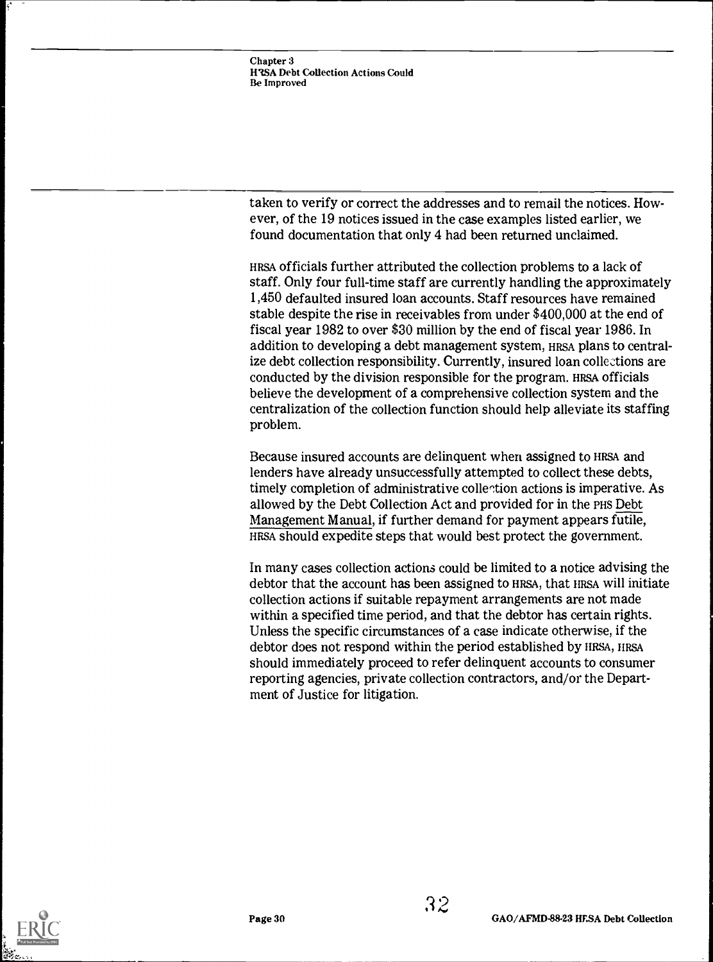taken to verify or correct the addresses and to remail the notices. However, of the 19 notices issued in the case examples listed earlier, we found documentation that only 4 had been returned unclaimed.

HRSA officials further attributed the collection problems to a lack of staff. Only four full-time staff are currently handling the approximately 1,450 defaulted insured loan accounts. Staff resources have remained stable despite the rise in receivables from under \$400,000 at the end of fiscal year 1982 to over \$30 million by the end of fiscal year 1986. In addition to developing a debt management system, HRSA plans to centralize debt collection responsibility. Currently, insured loan collections are conducted by the division responsible for the program. HRSA officials believe the development of a comprehensive collection system and the centralization of the collection function should help alleviate its staffing problem.

Because insured accounts are delinquent when assigned to HRSA and lenders have already unsuccessfully attempted to collect these debts, timely completion of administrative collertion actions is imperative. As allowed by the Debt Collection Act and provided for in the PHS Debt Management Manual, if further demand for payment appears futile, HRSA should expedite steps that would best protect the government.

In many cases collection actions could be limited to a notice advising the debtor that the account has been assigned to HRSA, that IIRSA will initiate collection actions if suitable repayment arrangements are not made within a specified time period, and that the debtor has certain rights. Unless the specific circumstances of a case indicate otherwise, if the debtor does not respond within the period established by HRSA, HRSA should immediately proceed to refer delinquent accounts to consumer reporting agencies, private collection contractors, and/or the Department of Justice for litigation.

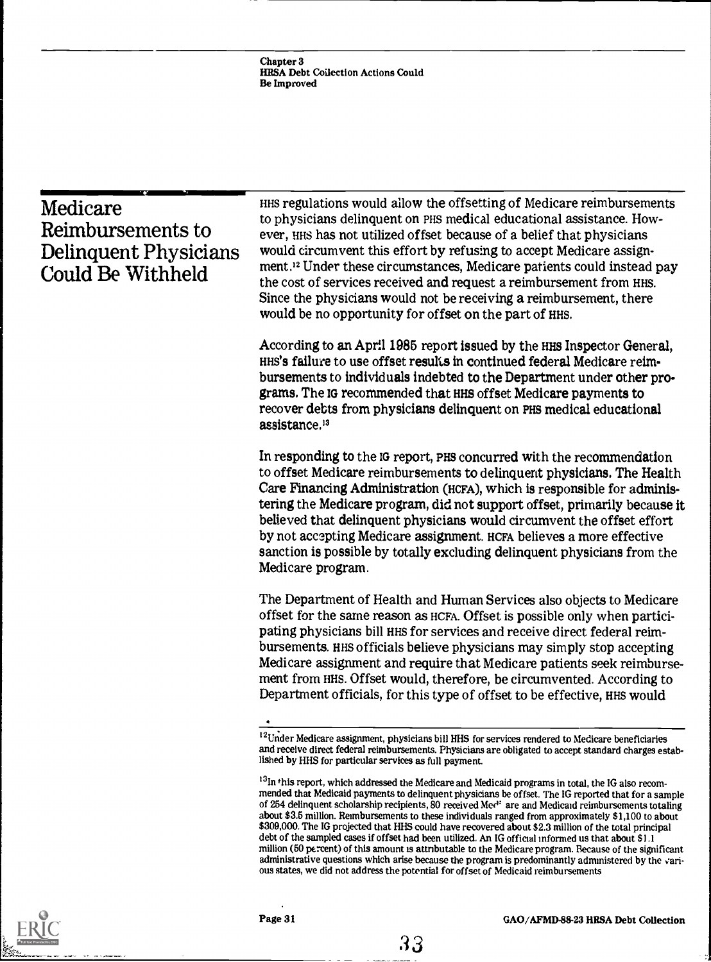Chapter 3 HRSA Debt Collection Actions Could Be Improved

| Medicare<br>Reimbursements to<br>Delinquent Physicians<br>Could Be Withheld | HHS regulations would allow the offsetting of Medicare reimbursements<br>to physicians delinquent on PHS medical educational assistance. How-<br>ever, HHS has not utilized offset because of a belief that physicians<br>would circumvent this effort by refusing to accept Medicare assign-<br>ment. <sup>12</sup> Under these circumstances, Medicare patients could instead pay<br>the cost of services received and request a reimbursement from HHS.<br>Since the physicians would not be receiving a reimbursement, there<br>would be no opportunity for offset on the part of HHS. |
|-----------------------------------------------------------------------------|--------------------------------------------------------------------------------------------------------------------------------------------------------------------------------------------------------------------------------------------------------------------------------------------------------------------------------------------------------------------------------------------------------------------------------------------------------------------------------------------------------------------------------------------------------------------------------------------|
|                                                                             | According to an April 1985 report issued by the HHS Inspector General,<br>HHS's failure to use offset results in continued federal Medicare reim-<br>bursements to individuals indebted to the Department under other pro-<br>grams. The IG recommended that HHS offset Medicare payments to<br>recover debts from physicians delinquent on PHS medical educational<br>assistance. <sup>13</sup>                                                                                                                                                                                           |
|                                                                             | In responding to the IG report, PHS concurred with the recommendation<br>to offset Medicare reimbursements to delinquent physicians. The Health<br>Care Financing Administration (HCFA), which is responsible for adminis-<br>tering the Medicare program, did not support offset, primarily because it<br>believed that delinquent physicians would circumvent the offset effort<br>by not accepting Medicare assignment. HCFA believes a more effective<br>sanction is possible by totally excluding delinquent physicians from the<br>Medicare program.                                 |
|                                                                             | The Department of Health and Human Services also objects to Medicare<br>offset for the same reason as HCFA. Offset is possible only when partici-<br>pating physicians bill HHS for services and receive direct federal reim-<br>bursements. HHS officials believe physicians may simply stop accepting<br>Medicare assignment and require that Medicare patients seek reimburse-<br>ment from HHS. Offset would, therefore, be circumvented. According to<br>Department officials, for this type of offset to be effective, HHS would                                                     |
|                                                                             | <sup>12</sup> Under Medicare assignment, physicians bill HHS for services rendered to Medicare beneficiaries<br>and receive direct federal reimbursements. Physicians are obligated to accept standard charges estab-<br>lished by HHS for particular services as full payment.                                                                                                                                                                                                                                                                                                            |
|                                                                             | <sup>13</sup> In this report, which addressed the Medicare and Medicaid programs in total, the IG also recom-                                                                                                                                                                                                                                                                                                                                                                                                                                                                              |

I31n this report, which addressed the Medicare and Medicaid programs in total, the IG also recommended that Medicaid payments to delinquent physicians be offset. The IG reported that for a sample of 254 delinquent scholarship recipients, 80 received Med<sup>1</sup> are and Medicaid reimbursements totaling about \$3.5 million. Reimbursements to these individuals ranged from approximately \$1,100 to about \$309,000. The IG projected that HHS could have recovered about \$2.3 million of the total principal debt of the sampled cases if offset had been utilized. An IG official informed us that about \$1.1 million (50 percent) of this amount is attnbutable to the Medicare program. Because of the significant administrative questions which arise because the program is predominantly administered by the various states, we did not address the potential for offset of Medicaid reimbursements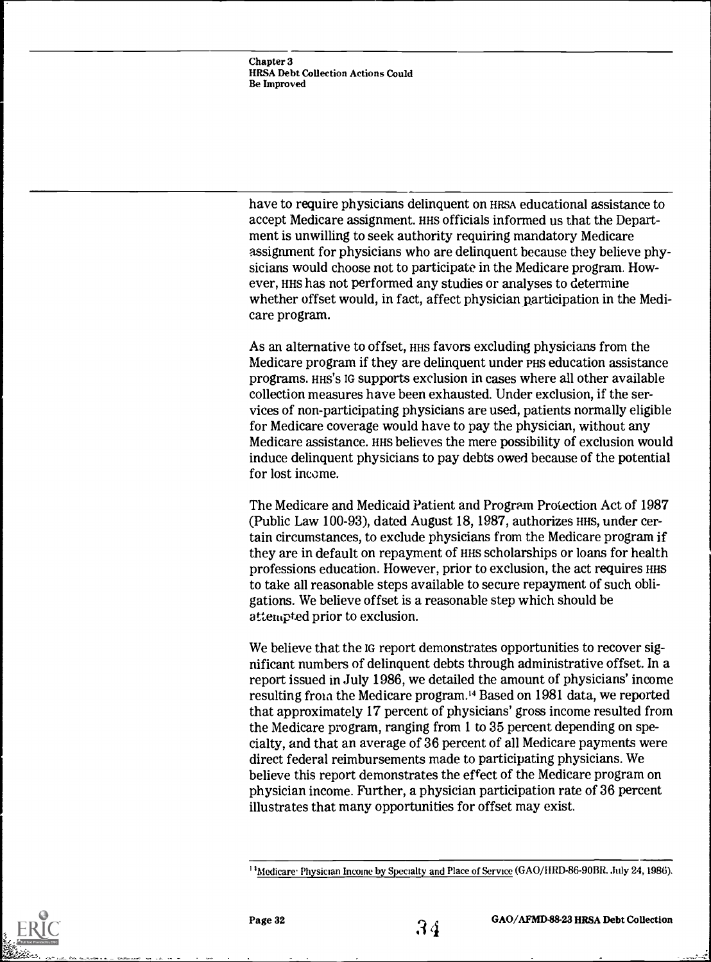have to require physicians delinquent on HRSA educational assistance to accept Medicare assignment. HHS officials informed us that the Department is unwilling to seek authority requiring mandatory Medicare assignment for physicians who are delinquent because they believe physicians would choose not to participate in the Medicare program. However, HHS has not performed any studies or analyses to determine whether offset would, in fact, affect physician participation in the Medicare program.

As an alternative to offset, HHS favors excluding physicians from the Medicare program if they are delinquent under PHS education assistance programs. HHS'S IG supports exclusion in cases where all other available collection measures have been exhausted. Under exclusion, if the services of non-participating physicians are used, patients normally eligible for Medicare coverage would have to pay the physician, without any Medicare assistance. HHS believes the mere possibility of exclusion would induce delinquent physicians to pay debts owed because of the potential for lost income.

The Medicare and Medicaid Patient and Program Protection Act of 1987 (Public Law 100-93), dated August 18, 1987, authorizes HHS, under certain circumstances, to exclude physicians from the Medicare program if they are in default on repayment of HHS scholarships or loans for health professions education. However, prior to exclusion, the act requires inis to take all reasonable steps available to secure repayment of such obligations. We believe offset is a reasonable step which should be attempted prior to exclusion.

We believe that the IG report demonstrates opportunities to recover significant numbers of delinquent debts through administrative offset. In a report issued in July 1986, we detailed the amount of physicians' income resulting from the Medicare program.<sup>14</sup> Based on 1981 data, we reported that approximately 17 percent of physicians' gross income resulted from the Medicare program, ranging from 1 to 35 percent depending on specialty, and that an average of 36 percent of all Medicare payments were direct federal reimbursements made to participating physicians. We believe this report demonstrates the effect of the Medicare program on physician income. Further, a physician participation rate of 36 percent illustrates that many opportunities for offset may exist.



<sup>&</sup>lt;sup>14</sup> Medicare Physician Income by Specialty and Place of Service (GAO/HRD-86-90BR. July 24, 1986).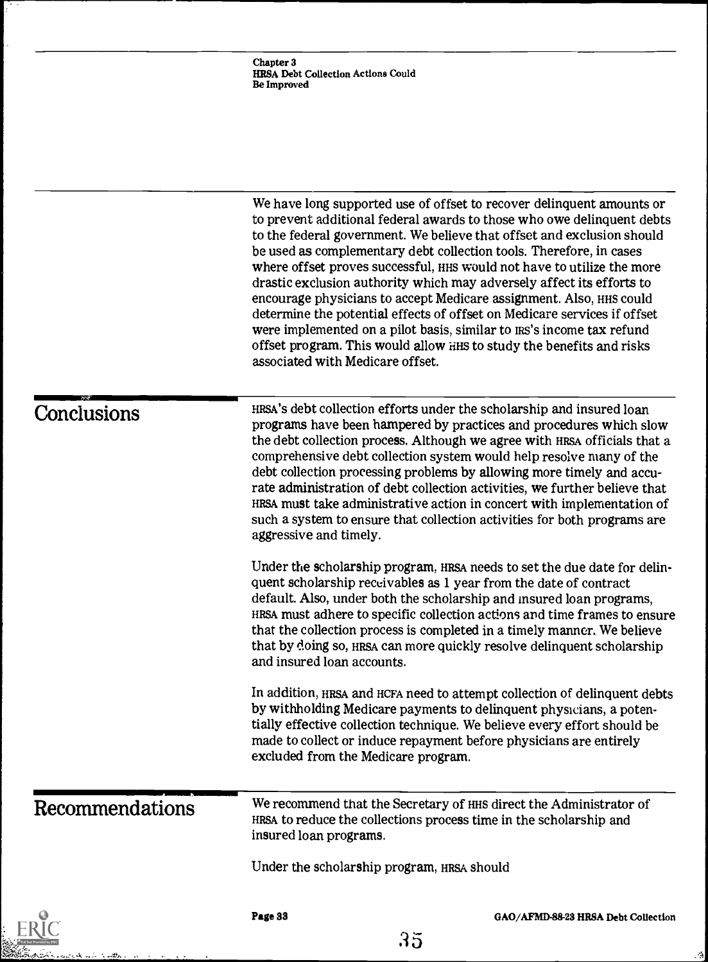n ir (m<del>il</del>b

e<br>S

Ŀ,

.<br>اف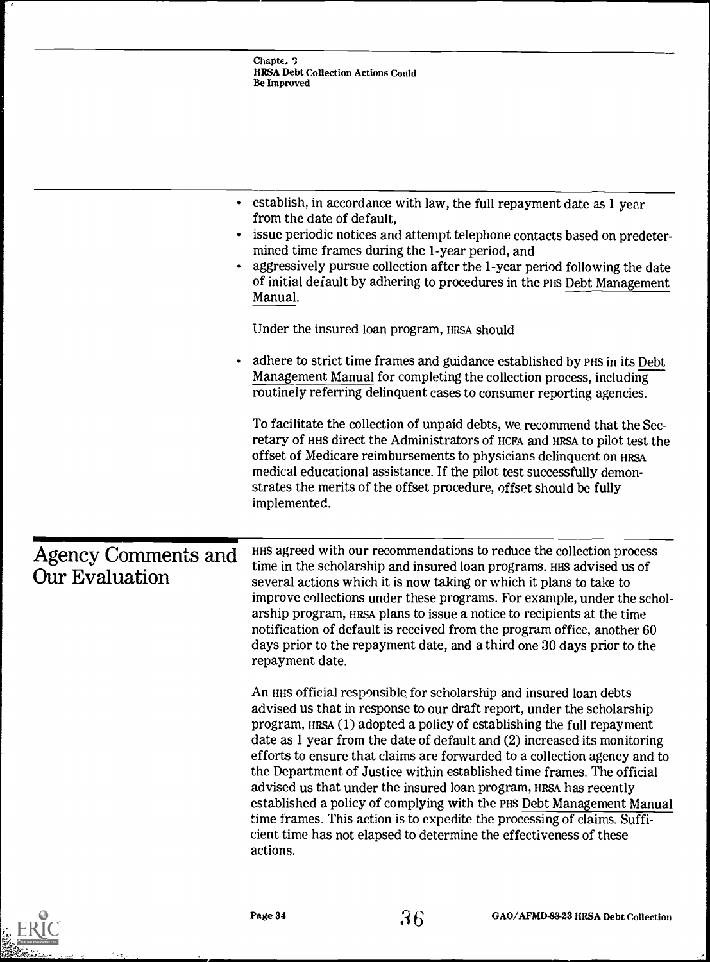|                                              | Chapte. $\sqrt{ }$<br><b>HRSA Debt Collection Actions Could</b><br><b>Be Improved</b>                                                                                                                                                                                                                                                                                                                                                                                                                                                                                                                                                                                                                                                                                |
|----------------------------------------------|----------------------------------------------------------------------------------------------------------------------------------------------------------------------------------------------------------------------------------------------------------------------------------------------------------------------------------------------------------------------------------------------------------------------------------------------------------------------------------------------------------------------------------------------------------------------------------------------------------------------------------------------------------------------------------------------------------------------------------------------------------------------|
|                                              | • establish, in accordance with law, the full repayment date as 1 year                                                                                                                                                                                                                                                                                                                                                                                                                                                                                                                                                                                                                                                                                               |
|                                              | from the date of default,<br>issue periodic notices and attempt telephone contacts based on predeter-<br>mined time frames during the 1-year period, and<br>aggressively pursue collection after the 1-year period following the date<br>of initial default by adhering to procedures in the PHS Debt Management<br>Manual.                                                                                                                                                                                                                                                                                                                                                                                                                                          |
|                                              | Under the insured loan program, HRSA should                                                                                                                                                                                                                                                                                                                                                                                                                                                                                                                                                                                                                                                                                                                          |
|                                              | adhere to strict time frames and guidance established by PHS in its Debt<br>Management Manual for completing the collection process, including<br>routinely referring delinquent cases to consumer reporting agencies.                                                                                                                                                                                                                                                                                                                                                                                                                                                                                                                                               |
|                                              | To facilitate the collection of unpaid debts, we recommend that the Sec-<br>retary of HHS direct the Administrators of HCFA and HRSA to pilot test the<br>offset of Medicare reimbursements to physicians delinquent on HRSA<br>medical educational assistance. If the pilot test successfully demon-<br>strates the merits of the offset procedure, offset should be fully<br>implemented.                                                                                                                                                                                                                                                                                                                                                                          |
| <b>Agency Comments and</b><br>Our Evaluation | HHS agreed with our recommendations to reduce the collection process<br>time in the scholarship and insured loan programs. HHS advised us of<br>several actions which it is now taking or which it plans to take to<br>improve collections under these programs. For example, under the schol-<br>arship program, HRSA plans to issue a notice to recipients at the time<br>notification of default is received from the program office, another 60<br>days prior to the repayment date, and a third one 30 days prior to the<br>repayment date.                                                                                                                                                                                                                     |
|                                              | An HHS official responsible for scholarship and insured loan debts<br>advised us that in response to our draft report, under the scholarship<br>program, HRSA (1) adopted a policy of establishing the full repayment<br>date as 1 year from the date of default and (2) increased its monitoring<br>efforts to ensure that claims are forwarded to a collection agency and to<br>the Department of Justice within established time frames. The official<br>advised us that under the insured loan program, HRSA has recently<br>established a policy of complying with the PHS Debt Management Manual<br>time frames. This action is to expedite the processing of claims. Suffi-<br>cient time has not elapsed to determine the effectiveness of these<br>actions. |



بالرودات

 $\mathcal{L}_{\mathcal{A}}$ 

.,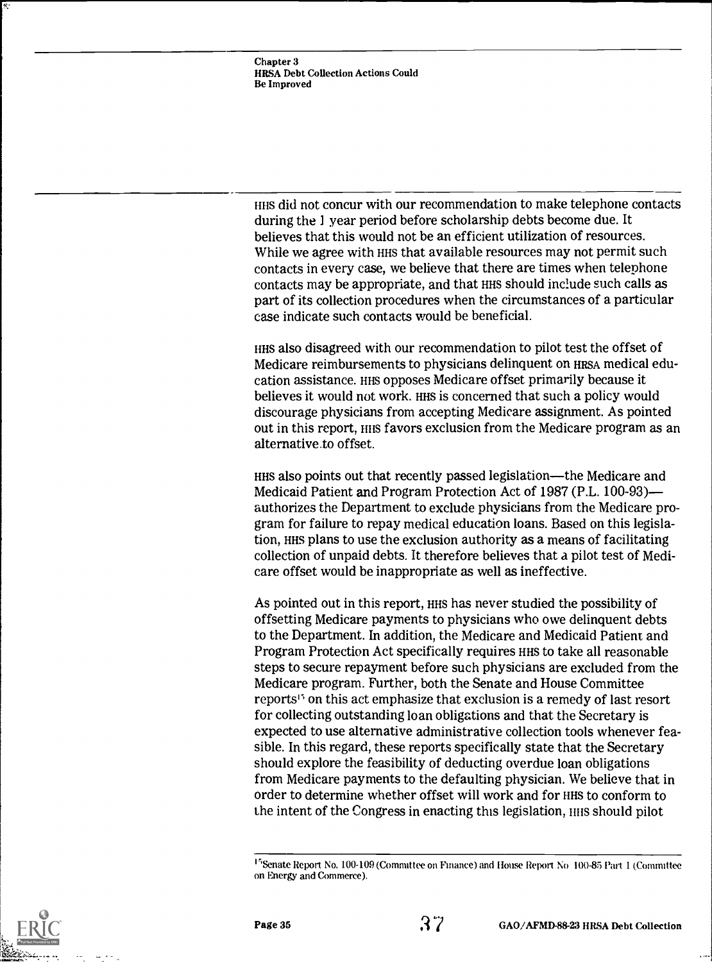HHS did not concur with our recommendation to make telephone contacts during the 1 year period before scholarship debts become due. It believes that this would not be an efficient utilization of resources. While we agree with HHS that available resources may not permit such contacts in every case, we believe that there are times when telephone contacts may be appropriate, and that HHS should include such calls as part of its collection procedures when the circumstances of a particular case indicate such contacts would be beneficial.

HHS also disagreed with our recommendation to pilot test the offset of Medicare reimbursements to physicians delinquent on HRSA medical education assistance. HHS opposes Medicare offset primarily because it believes it would not work. HHS is concerned that such a policy would discourage physicians from accepting Medicare assignment. As pointed out in this report, HIS favors exclusion from the Medicare program as an alternative.to offset.

HHS also points out that recently passed legislation—the Medicare and Medicaid Patient and Program Protection Act of 1987 (P.L. 100-93) authorizes the Department to exclude physicians from the Medicare program for failure to repay medical education loans. Based on this legislation, Has plans to use the exclusion authority as a means of facilitating collection of unpaid debts. It therefore believes that a pilot test of Medicare offset would be inappropriate as well as ineffective.

As pointed out in this report, HHS has never studied the possibility of offsetting Medicare payments to physicians who owe delinquent debts to the Department. In addition, the Medicare and Medicaid Patient and Program Protection Act specifically requires HHS to take all reasonable steps to secure repayment before such physicians are excluded from the Medicare program. Further, both the Senate and House Committee reports<sup>15</sup> on this act emphasize that exclusion is a remedy of last resort for collecting outstanding loan obligations and that the Secretary is expected to use alternative administrative collection tools whenever feasible. In this regard, these reports specifically state that the Secretary should explore the feasibility of deducting overdue loan obligations from Medicare payments to the defaulting physician. We believe that in order to determine whether offset will work and for HHS to conform to the intent of the Congress in enacting this legislation, in this should pilot



<sup>&</sup>lt;sup>15</sup> Senate Report No. 100-109 (Committee on Finance) and House Report No 100-85 Part 1 (Committee on Energy and Commerce).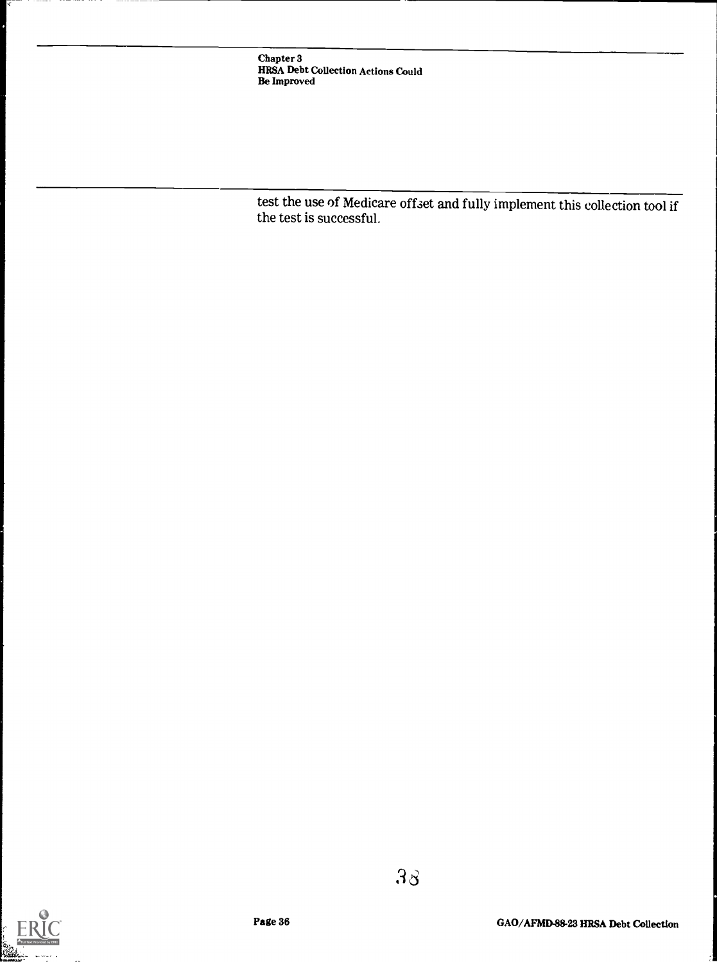test the use of Medicare offset and fully implement this collection tool if the test is successful.



 $3<sub>3</sub>$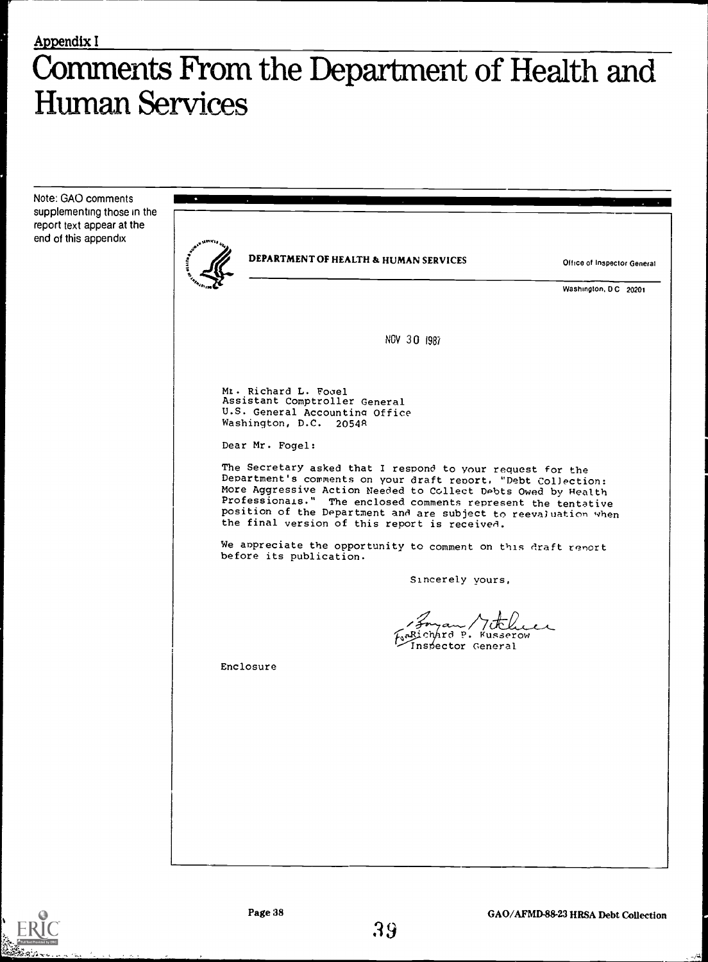## Comments From the Department of Health and Human Services

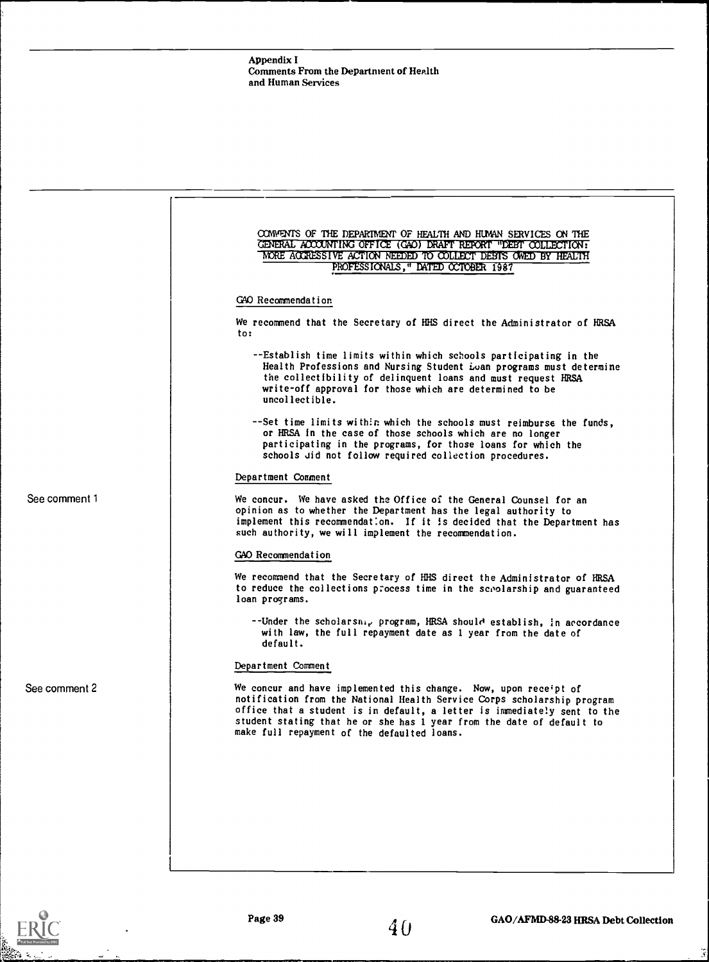|               | COMMENTS OF THE DEPARTMENT OF HEALTH AND HUMAN SERVICES ON THE<br>GENERAL ACCOUNTING OFFICE (GAO) DRAFT REPORT "DEBT COLLECTION:<br>MORE ACCRESSIVE ACTION NEEDED TO COLLECT DEBTS OWED BY HEALTH<br>PROFESSIONALS," DATED OCTOBER 1987                                                                                                         |
|---------------|-------------------------------------------------------------------------------------------------------------------------------------------------------------------------------------------------------------------------------------------------------------------------------------------------------------------------------------------------|
|               |                                                                                                                                                                                                                                                                                                                                                 |
|               | GAO Recommendation                                                                                                                                                                                                                                                                                                                              |
|               | We recommend that the Secretary of HHS direct the Administrator of HRSA<br>to:                                                                                                                                                                                                                                                                  |
|               | --Establish time limits within which schools participating in the<br>Health Professions and Nursing Student Loan programs must determine<br>the collectibility of delinquent loans and must request HRSA<br>write-off approval for those which are determined to be<br>uncollectible.                                                           |
|               | --Set time limits within which the schools must reimburse the funds,<br>or HRSA in the case of those schools which are no longer<br>participating in the programs, for those loans for which the<br>schools did not follow required collection procedures.                                                                                      |
|               | Department Comment                                                                                                                                                                                                                                                                                                                              |
| See comment 1 | We concur. We have asked the Office of the General Counsel for an<br>opinion as to whether the Department has the legal authority to<br>implement this recommendation. If it is decided that the Department has<br>such authority, we will implement the recommendation.                                                                        |
|               | GAO Recommendation                                                                                                                                                                                                                                                                                                                              |
|               | We recommend that the Secretary of HHS direct the Administrator of HRSA<br>to reduce the collections process time in the sepolarship and guaranteed<br>loan programs.                                                                                                                                                                           |
|               | --Under the scholarsnig program, HRSA should establish, in accordance<br>with law, the full repayment date as 1 year from the date of<br>default.                                                                                                                                                                                               |
|               | Department Comment                                                                                                                                                                                                                                                                                                                              |
| See comment 2 | We concur and have implemented this change. Now, upon receipt of<br>notification from the National Health Service Corps scholarship program<br>office that a student is in default, a letter is immediately sent to the<br>student stating that he or she has 1 year from the date of default to<br>make full repayment of the defaulted loans. |
|               |                                                                                                                                                                                                                                                                                                                                                 |
|               |                                                                                                                                                                                                                                                                                                                                                 |
|               |                                                                                                                                                                                                                                                                                                                                                 |
|               |                                                                                                                                                                                                                                                                                                                                                 |
|               |                                                                                                                                                                                                                                                                                                                                                 |
|               |                                                                                                                                                                                                                                                                                                                                                 |



 $\tilde{\mathcal{F}}$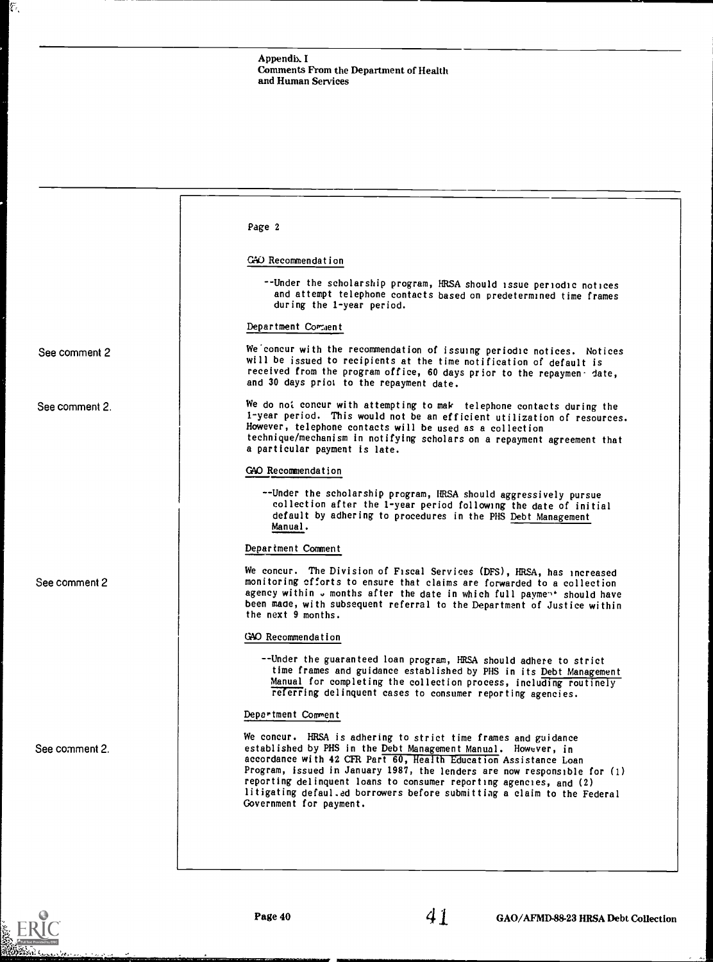|                | Page 2                                                                                                                                                                                                                                                                                                                                                                                                                                                      |
|----------------|-------------------------------------------------------------------------------------------------------------------------------------------------------------------------------------------------------------------------------------------------------------------------------------------------------------------------------------------------------------------------------------------------------------------------------------------------------------|
|                | CAO Recommendation                                                                                                                                                                                                                                                                                                                                                                                                                                          |
|                | --Under the scholarship program, HRSA should issue periodic notices<br>and attempt telephone contacts based on predetermined time frames<br>during the 1-year period.                                                                                                                                                                                                                                                                                       |
|                | Department Comment                                                                                                                                                                                                                                                                                                                                                                                                                                          |
| See comment 2  | We concur with the recommendation of issuing periodic notices. Notices<br>will be issued to recipients at the time notification of default is<br>received from the program office, 60 days prior to the repaymen date,<br>and 30 days priot to the repayment date.                                                                                                                                                                                          |
| See comment 2. | We do not concur with attempting to mak telephone contacts during the<br>1-year period. This would not be an efficient utilization of resources.<br>However, telephone contacts will be used as a collection<br>technique/mechanism in notifying scholars on a repayment agreement that<br>a particular payment is late.                                                                                                                                    |
|                | GAO Recommendation                                                                                                                                                                                                                                                                                                                                                                                                                                          |
|                | --Under the scholarship program, IRSA should aggressively pursue<br>collection after the 1-year period following the date of initial<br>default by adhering to procedures in the PHS Debt Management<br>Manual.                                                                                                                                                                                                                                             |
|                | Department Comment                                                                                                                                                                                                                                                                                                                                                                                                                                          |
| See comment 2  | We concur. The Division of Fiscal Services (DFS), HRSA, has increased<br>monitoring efforts to ensure that claims are forwarded to a collection<br>agency within . months after the date in which full payment should have<br>been made, with subsequent referral to the Department of Justice within<br>the next 9 months.                                                                                                                                 |
|                | GAO Recommendation                                                                                                                                                                                                                                                                                                                                                                                                                                          |
|                | --Under the guaranteed loan program, HRSA should adhere to strict<br>time frames and guidance established by PHS in its Debt Management<br>Manual for completing the collection process, including routinely<br>referring delinquent cases to consumer reporting agencies.                                                                                                                                                                                  |
|                | Department Comment                                                                                                                                                                                                                                                                                                                                                                                                                                          |
| See comment 2. | We concur. HRSA is adhering to strict time frames and guidance<br>established by PHS in the Debt Management Manual. However, in<br>accordance with 42 CFR Part 60, Health Education Assistance Loan<br>Program, issued in January 1987, the lenders are now responsible for (1)<br>reporting delinquent loans to consumer reporting agencies, and (2)<br>litigating defaul.ed borrowers before submitting a claim to the Federal<br>Government for payment. |
|                |                                                                                                                                                                                                                                                                                                                                                                                                                                                             |
|                |                                                                                                                                                                                                                                                                                                                                                                                                                                                             |
|                |                                                                                                                                                                                                                                                                                                                                                                                                                                                             |



 $\widetilde{\mathcal{E}}$  .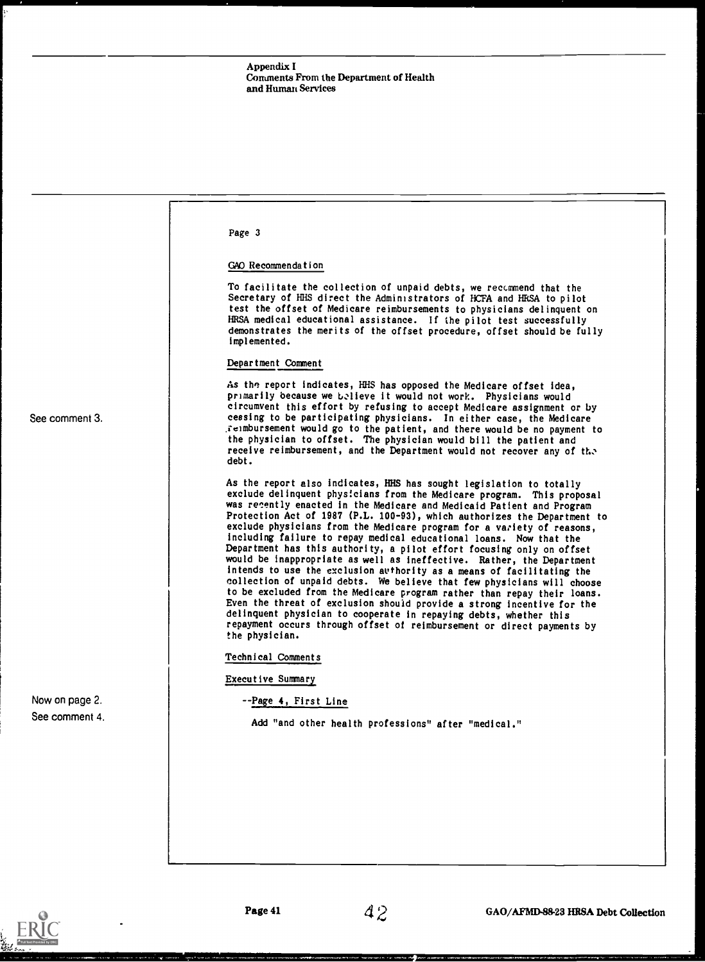|                | Page 3                                                                                                                                                                                                                                                                                                                                                                                                                                                                                                                                                                                                                                                                                                                                                                                                                                                                                                                                                                                                                                                                                              |
|----------------|-----------------------------------------------------------------------------------------------------------------------------------------------------------------------------------------------------------------------------------------------------------------------------------------------------------------------------------------------------------------------------------------------------------------------------------------------------------------------------------------------------------------------------------------------------------------------------------------------------------------------------------------------------------------------------------------------------------------------------------------------------------------------------------------------------------------------------------------------------------------------------------------------------------------------------------------------------------------------------------------------------------------------------------------------------------------------------------------------------|
|                | GAO Recommendation                                                                                                                                                                                                                                                                                                                                                                                                                                                                                                                                                                                                                                                                                                                                                                                                                                                                                                                                                                                                                                                                                  |
|                | To facilitate the collection of unpaid debts, we recommend that the<br>Secretary of HHS direct the Administrators of HCFA and HESA to pilot<br>test the offset of Medicare reimbursements to physicians delinquent on<br>HRSA medical educational assistance. If the pilot test successfully<br>demonstrates the merits of the offset procedure, offset should be fully<br>implemented.                                                                                                                                                                                                                                                                                                                                                                                                                                                                                                                                                                                                                                                                                                             |
|                | Department Comment                                                                                                                                                                                                                                                                                                                                                                                                                                                                                                                                                                                                                                                                                                                                                                                                                                                                                                                                                                                                                                                                                  |
| See comment 3. | As the report indicates, HHS has opposed the Medicare offset idea,<br>primarily because we believe it would not work. Physicians would<br>circumvent this effort by refusing to accept Medicare assignment or by<br>cessing to be participating physicians. In either case, the Medicare<br>Feimbursement would go to the patient, and there would be no payment to<br>the physician to offset. The physician would bill the patient and<br>receive reimbursement, and the Department would not recover any of the<br>debt.                                                                                                                                                                                                                                                                                                                                                                                                                                                                                                                                                                         |
|                | As the report also indicates, HHS has sought legislation to totally<br>exclude delinquent physicians from the Medicare program. This proposal<br>was recently enacted in the Medicare and Medicaid Patient and Program<br>Protection Act of 1987 (P.L. 100-93), which authorizes the Department to<br>exclude physicians from the Medicare program for a variety of reasons,<br>including failure to repay medical educational loans. Now that the<br>Department has this authority, a pilot effort focusing only on offset<br>would be inappropriate as well as ineffective. Rather, the Department<br>intends to use the exclusion authority as a means of facilitating the<br>collection of unpaid debts. We believe that few physicians will choose<br>to be excluded from the Medicare program rather than repay their loans.<br>Even the threat of exclusion should provide a strong incentive for the<br>delinquent physician to cooperate in repaying debts, whether this<br>repayment occurs through offset of reimbursement or direct payments by<br>the physician.<br>Technical Comments |
|                | Executive Summary                                                                                                                                                                                                                                                                                                                                                                                                                                                                                                                                                                                                                                                                                                                                                                                                                                                                                                                                                                                                                                                                                   |
| Now on page 2. | --Page 4, First Line                                                                                                                                                                                                                                                                                                                                                                                                                                                                                                                                                                                                                                                                                                                                                                                                                                                                                                                                                                                                                                                                                |
| See comment 4. | Add "and other health professions" after "medical."                                                                                                                                                                                                                                                                                                                                                                                                                                                                                                                                                                                                                                                                                                                                                                                                                                                                                                                                                                                                                                                 |
|                |                                                                                                                                                                                                                                                                                                                                                                                                                                                                                                                                                                                                                                                                                                                                                                                                                                                                                                                                                                                                                                                                                                     |
|                |                                                                                                                                                                                                                                                                                                                                                                                                                                                                                                                                                                                                                                                                                                                                                                                                                                                                                                                                                                                                                                                                                                     |
|                |                                                                                                                                                                                                                                                                                                                                                                                                                                                                                                                                                                                                                                                                                                                                                                                                                                                                                                                                                                                                                                                                                                     |
|                |                                                                                                                                                                                                                                                                                                                                                                                                                                                                                                                                                                                                                                                                                                                                                                                                                                                                                                                                                                                                                                                                                                     |
|                |                                                                                                                                                                                                                                                                                                                                                                                                                                                                                                                                                                                                                                                                                                                                                                                                                                                                                                                                                                                                                                                                                                     |
|                |                                                                                                                                                                                                                                                                                                                                                                                                                                                                                                                                                                                                                                                                                                                                                                                                                                                                                                                                                                                                                                                                                                     |

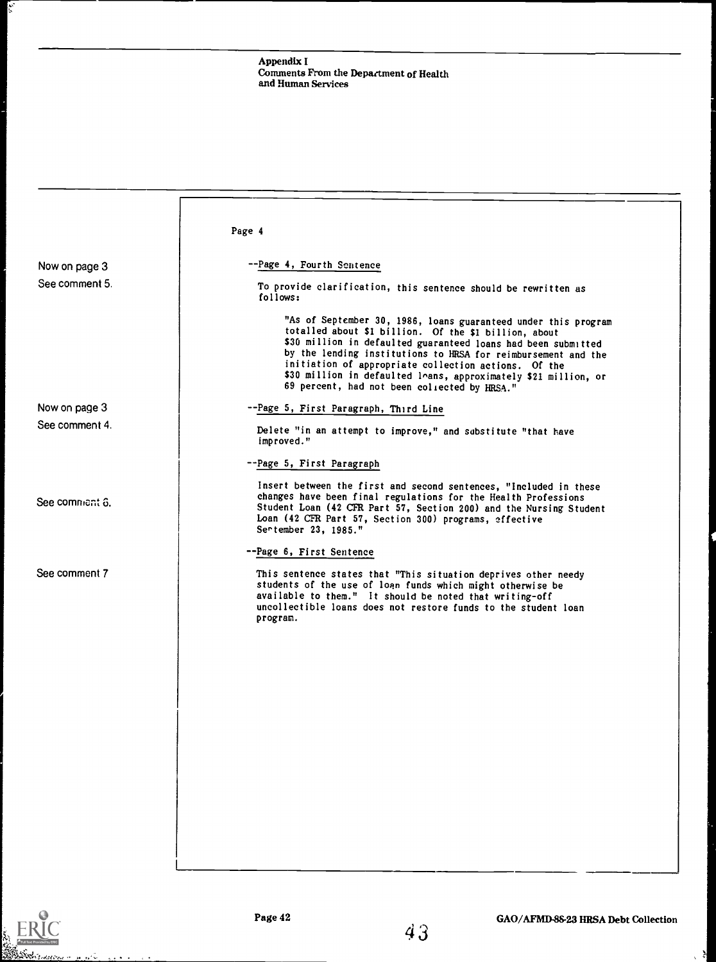|                | Page 4                                                                                                                                                                                                                                                                                                                                                                                                                               |
|----------------|--------------------------------------------------------------------------------------------------------------------------------------------------------------------------------------------------------------------------------------------------------------------------------------------------------------------------------------------------------------------------------------------------------------------------------------|
|                |                                                                                                                                                                                                                                                                                                                                                                                                                                      |
| Now on page 3  | -- Page 4, Fourth Sentence                                                                                                                                                                                                                                                                                                                                                                                                           |
| See comment 5. | To provide clarification, this sentence should be rewritten as<br>follows:                                                                                                                                                                                                                                                                                                                                                           |
|                | "As of September 30, 1986, loans guaranteed under this program<br>totalled about \$1 billion. Of the \$1 billion, about<br>\$30 million in defaulted guaranteed loans had been submitted<br>by the lending institutions to HRSA for reimbursement and the<br>initiation of appropriate collection actions. Of the<br>\$30 million in defaulted loans, approximately \$21 million, or<br>69 percent, had not been collected by HRSA." |
| Now on page 3  | --Page 5, First Paragraph, Third Line                                                                                                                                                                                                                                                                                                                                                                                                |
| See comment 4. | Delete "in an attempt to improve," and substitute "that have<br>improved."                                                                                                                                                                                                                                                                                                                                                           |
|                | --Page 5, First Paragraph                                                                                                                                                                                                                                                                                                                                                                                                            |
| See comment 6. | Insert between the first and second sentences, "Included in these<br>changes have been final regulations for the Health Professions<br>Student Loan (42 CFR Part 57, Section 200) and the Nursing Student<br>Loan (42 CFR Part 57, Section 300) programs, effective<br>Sertember 23, 1985."                                                                                                                                          |
|                | --Page 6, First Sentence                                                                                                                                                                                                                                                                                                                                                                                                             |
| See comment 7  | This sentence states that "This situation deprives other needy<br>students of the use of loan funds which might otherwise be<br>available to them." It should be noted that writing-off<br>uncollectible loans does not restore funds to the student loan<br>program.                                                                                                                                                                |
|                |                                                                                                                                                                                                                                                                                                                                                                                                                                      |
|                |                                                                                                                                                                                                                                                                                                                                                                                                                                      |
|                |                                                                                                                                                                                                                                                                                                                                                                                                                                      |
|                |                                                                                                                                                                                                                                                                                                                                                                                                                                      |
|                |                                                                                                                                                                                                                                                                                                                                                                                                                                      |
|                |                                                                                                                                                                                                                                                                                                                                                                                                                                      |
|                |                                                                                                                                                                                                                                                                                                                                                                                                                                      |
|                |                                                                                                                                                                                                                                                                                                                                                                                                                                      |
|                |                                                                                                                                                                                                                                                                                                                                                                                                                                      |
|                |                                                                                                                                                                                                                                                                                                                                                                                                                                      |
|                |                                                                                                                                                                                                                                                                                                                                                                                                                                      |



 $\mathbf{z}_i$ 



 $\mathcal{L}$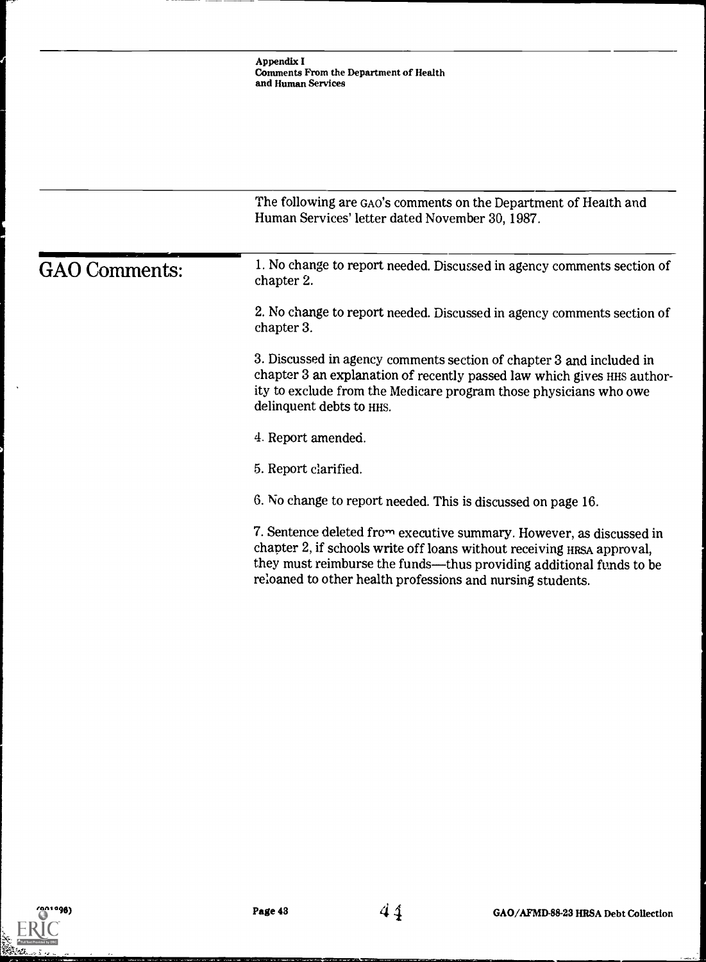|                      | The following are GAO's comments on the Department of Health and<br>Human Services' letter dated November 30, 1987.                                                                                                                                                                 |
|----------------------|-------------------------------------------------------------------------------------------------------------------------------------------------------------------------------------------------------------------------------------------------------------------------------------|
| <b>GAO</b> Comments: | 1. No change to report needed. Discussed in agency comments section of<br>chapter 2.                                                                                                                                                                                                |
|                      | 2. No change to report needed. Discussed in agency comments section of<br>chapter 3.                                                                                                                                                                                                |
|                      | 3. Discussed in agency comments section of chapter 3 and included in<br>chapter 3 an explanation of recently passed law which gives HHS author-<br>ity to exclude from the Medicare program those physicians who owe<br>delinquent debts to HHS.                                    |
|                      | 4. Report amended.                                                                                                                                                                                                                                                                  |
|                      | 5. Report clarified.                                                                                                                                                                                                                                                                |
|                      | 6. No change to report needed. This is discussed on page 16.                                                                                                                                                                                                                        |
|                      | 7. Sentence deleted from executive summary. However, as discussed in<br>chapter 2, if schools write off loans without receiving HRSA approval,<br>they must reimburse the funds—thus providing additional funds to be<br>reloaned to other health professions and nursing students. |
|                      |                                                                                                                                                                                                                                                                                     |